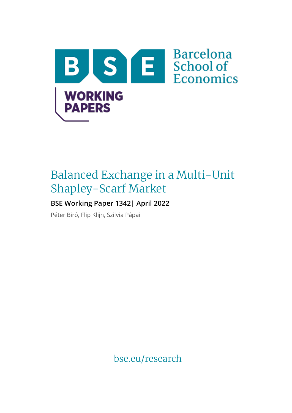

# Balanced Exchange in a Multi-Unit Shapley-Scarf Market

## **BSE Working Paper 1342| April 2022**

Péter Biró, Flip Klijn, Szilvia Pápai

bse.eu/research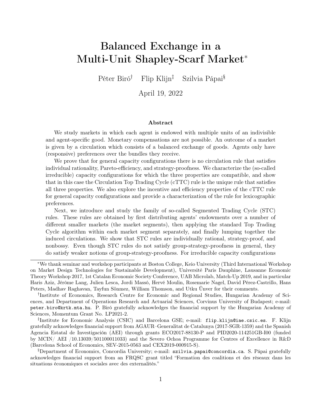## Balanced Exchange in a Multi-Unit Shapley-Scarf Market<sup>∗</sup>

Péter Biró† Flip Klijn‡ Szilvia Pápai§

April 19, 2022

#### Abstract

We study markets in which each agent is endowed with multiple units of an indivisible and agent-specific good. Monetary compensations are not possible. An outcome of a market is given by a circulation which consists of a balanced exchange of goods. Agents only have (responsive) preferences over the bundles they receive.

We prove that for general capacity configurations there is no circulation rule that satisfies individual rationality, Pareto-efficiency, and strategy-proofness. We characterize the (so-called irreducible) capacity configurations for which the three properties are compatible, and show that in this case the Circulation Top Trading Cycle (cTTC) rule is the unique rule that satisfies all three properties. We also explore the incentive and efficiency properties of the cTTC rule for general capacity configurations and provide a characterization of the rule for lexicographic preferences.

Next, we introduce and study the family of so-called Segmented Trading Cycle (STC) rules. These rules are obtained by first distributing agents' endowments over a number of different smaller markets (the market segments), then applying the standard Top Trading Cycle algorithm within each market segment separately, and finally lumping together the induced circulations. We show that STC rules are individually rational, strategy-proof, and nonbossy. Even though STC rules do not satisfy group-strategy-proofness in general, they do satisfy weaker notions of group-strategy-proofness. For irreducible capacity configurations

‡ Institute for Economic Analysis (CSIC) and Barcelona GSE; e-mail: flip.klijn@iae.csic.es. F. Klijn gratefully acknowledges financial support from AGAUR–Generalitat de Catalunya (2017-SGR-1359) and the Spanish Agencia Estatal de Investigación (AEI) through grants ECO2017-88130-P and PID2020-114251GB-I00 (funded by MCIN/ AEI /10.13039/501100011033) and the Severo Ochoa Programme for Centres of Excellence in R&D (Barcelona School of Economics, SEV-2015-0563 and CEX2019-000915-S).

§Department of Economics, Concordia University; e-mail: szilvia.papai@concordia.ca. S. Pápai gratefully acknowledges financial support from an FRQSC grant titled "Formation des coalitions et des réseaux dans les situations économiques et sociales avec des externalités."

<sup>∗</sup>We thank seminar and workshop participants at Boston College, Keio University (Third International Workshop on Market Design Technologies for Sustainable Development), Université Paris Dauphine, Lausanne Economic Theory Workshop 2017, 1st Catalan Economic Society Conference, UAB Microlab, Match-Up 2019, and in particular Haris Aziz, Jérôme Lang, Julien Lesca, Jordi Massó, Hervé Moulin, Rosemarie Nagel, David Pérez-Castrillo, Hans Peters, Madhav Raghavan, Tayfun Sönmez, William Thomson, and Utku Ünver for their comments.

<sup>†</sup> Institute of Economics, Research Centre for Economic and Regional Studies, Hungarian Academy of Sciences, and Department of Operations Research and Actuarial Sciences, Corvinus University of Budapest; e-mail: peter.biro@krtk.mta.hu. P. Biró gratefully acknowledges the financial support by the Hungarian Academy of Sciences, Momentum Grant No. LP2021-2.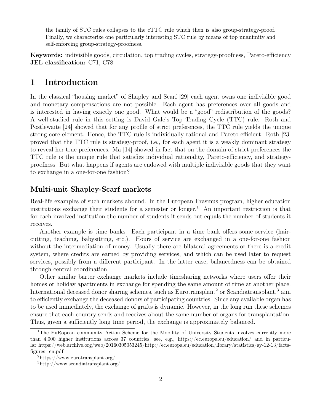the family of STC rules collapses to the cTTC rule which then is also group-strategy-proof. Finally, we characterize one particularly interesting STC rule by means of top unanimity and self-enforcing group-strategy-proofness.

Keywords: indivisible goods, circulation, top trading cycles, strategy-proofness, Pareto-efficiency JEL classification: C71, C78

## 1 Introduction

In the classical "housing market" of Shapley and Scarf [29] each agent owns one indivisible good and monetary compensations are not possible. Each agent has preferences over all goods and is interested in having exactly one good. What would be a "good" redistribution of the goods? A well-studied rule in this setting is David Gale's Top Trading Cycle (TTC) rule. Roth and Postlewaite [24] showed that for any profile of strict preferences, the TTC rule yields the unique strong core element. Hence, the TTC rule is individually rational and Pareto-efficient. Roth [23] proved that the TTC rule is strategy-proof, i.e., for each agent it is a weakly dominant strategy to reveal her true preferences. Ma [14] showed in fact that on the domain of strict preferences the TTC rule is the unique rule that satisfies individual rationality, Pareto-efficiency, and strategyproofness. But what happens if agents are endowed with multiple indivisible goods that they want to exchange in a one-for-one fashion?

#### Multi-unit Shapley-Scarf markets

Real-life examples of such markets abound. In the European Erasmus program, higher education institutions exchange their students for a semester or longer.<sup>1</sup> An important restriction is that for each involved institution the number of students it sends out equals the number of students it receives.

Another example is time banks. Each participant in a time bank offers some service (haircutting, teaching, babysitting, etc.). Hours of service are exchanged in a one-for-one fashion without the intermediation of money. Usually there are bilateral agreements or there is a credit system, where credits are earned by providing services, and which can be used later to request services, possibly from a different participant. In the latter case, balancedness can be obtained through central coordination.

Other similar barter exchange markets include timesharing networks where users offer their homes or holiday apartments in exchange for spending the same amount of time at another place. International deceased donor sharing schemes, such as Eurotransplant<sup>2</sup> or Scandiatransplant,<sup>3</sup> aim to efficiently exchange the deceased donors of participating countries. Since any available organ has to be used immediately, the exchange of grafts is dynamic. However, in the long run these schemes ensure that each country sends and receives about the same number of organs for transplantation. Thus, given a sufficiently long time period, the exchange is approximately balanced.

<sup>&</sup>lt;sup>1</sup>The EuRopean community Action Scheme for the Mobility of University Students involves currently more than 4,000 higher institutions across 37 countries, see, e.g., https://ec.europa.eu/education/ and in particular https://web.archive.org/web/20160305053245/http://ec.europa.eu/education/library/statistics/ay-12-13/factsfigures\_en.pdf

<sup>2</sup>https://www.eurotransplant.org/

<sup>3</sup>http://www.scandiatransplant.org/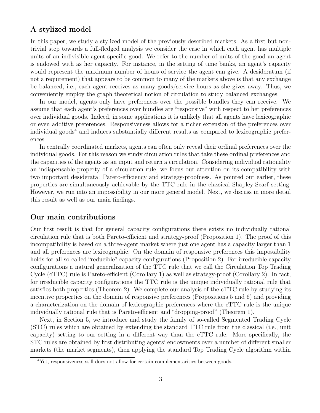#### A stylized model

In this paper, we study a stylized model of the previously described markets. As a first but nontrivial step towards a full-fledged analysis we consider the case in which each agent has multiple units of an indivisible agent-specific good. We refer to the number of units of the good an agent is endowed with as her capacity. For instance, in the setting of time banks, an agent's capacity would represent the maximum number of hours of service the agent can give. A desideratum (if not a requirement) that appears to be common to many of the markets above is that any exchange be balanced, i.e., each agent receives as many goods/service hours as she gives away. Thus, we conveniently employ the graph theoretical notion of circulation to study balanced exchanges.

In our model, agents only have preferences over the possible bundles they can receive. We assume that each agent's preferences over bundles are "responsive" with respect to her preferences over individual goods. Indeed, in some applications it is unlikely that all agents have lexicographic or even additive preferences. Responsiveness allows for a richer extension of the preferences over individual goods<sup>4</sup> and induces substantially different results as compared to lexicographic preferences.

In centrally coordinated markets, agents can often only reveal their ordinal preferences over the individual goods. For this reason we study circulation rules that take these ordinal preferences and the capacities of the agents as an input and return a circulation. Considering individual rationality an indispensable property of a circulation rule, we focus our attention on its compatibility with two important desiderata: Pareto-efficiency and strategy-proofness. As pointed out earlier, these properties are simultaneously achievable by the TTC rule in the classical Shapley-Scarf setting. However, we run into an impossibility in our more general model. Next, we discuss in more detail this result as well as our main findings.

#### Our main contributions

Our first result is that for general capacity configurations there exists no individually rational circulation rule that is both Pareto-efficient and strategy-proof (Proposition 1). The proof of this incompatibility is based on a three-agent market where just one agent has a capacity larger than 1 and all preferences are lexicographic. On the domain of responsive preferences this impossibility holds for all so-called "reducible" capacity configurations (Proposition 2). For irreducible capacity configurations a natural generalization of the TTC rule that we call the Circulation Top Trading Cycle (cTTC) rule is Pareto-efficient (Corollary 1) as well as strategy-proof (Corollary 2). In fact, for irreducible capacity configurations the TTC rule is the unique individually rational rule that satisfies both properties (Theorem 2). We complete our analysis of the cTTC rule by studying its incentive properties on the domain of responsive preferences (Propositions 5 and 6) and providing a characterization on the domain of lexicographic preferences where the cTTC rule is the unique individually rational rule that is Pareto-efficient and "dropping-proof" (Theorem 1).

Next, in Section 5, we introduce and study the family of so-called Segmented Trading Cycle (STC) rules which are obtained by extending the standard TTC rule from the classical (i.e., unit capacity) setting to our setting in a different way than the cTTC rule. More specifically, the STC rules are obtained by first distributing agents' endowments over a number of different smaller markets (the market segments), then applying the standard Top Trading Cycle algorithm within

<sup>&</sup>lt;sup>4</sup>Yet, responsiveness still does not allow for certain complementarities between goods.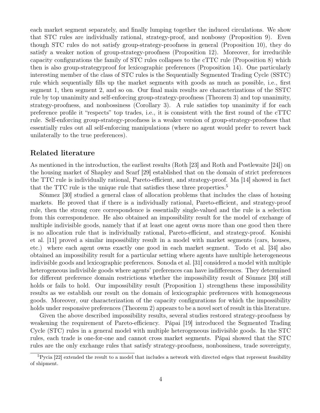each market segment separately, and finally lumping together the induced circulations. We show that STC rules are individually rational, strategy-proof, and nonbossy (Proposition 9). Even though STC rules do not satisfy group-strategy-proofness in general (Proposition 10), they do satisfy a weaker notion of group-strategy-proofness (Proposition 12). Moreover, for irreducible capacity configurations the family of STC rules collapses to the cTTC rule (Proposition 8) which then is also group-strategyproof for lexicographic preferences (Proposition 14). One particularly interesting member of the class of STC rules is the Sequentially Segmented Trading Cycle (SSTC) rule which sequentially fills up the market segments with goods as much as possible, i.e., first segment 1, then segment 2, and so on. Our final main results are characterizations of the SSTC rule by top unanimity and self-enforcing group-strategy-proofness (Theorem 3) and top unanimity, strategy-proofness, and nonbossiness (Corollary 3). A rule satisfies top unanimity if for each preference profile it "respects" top trades, i.e., it is consistent with the first round of the cTTC rule. Self-enforcing group-strategy-proofness is a weaker version of group-strategy-proofness that essentially rules out all self-enforcing manipulations (where no agent would prefer to revert back unilaterally to the true preferences).

#### Related literature

As mentioned in the introduction, the earliest results (Roth [23] and Roth and Postlewaite [24]) on the housing market of Shapley and Scarf [29] established that on the domain of strict preferences the TTC rule is individually rational, Pareto-efficient, and strategy-proof. Ma [14] showed in fact that the TTC rule is the unique rule that satisfies these three properties.<sup>5</sup>

Sönmez [30] studied a general class of allocation problems that includes the class of housing markets. He proved that if there is a individually rational, Pareto-efficient, and strategy-proof rule, then the strong core correspondence is essentially single-valued and the rule is a selection from this correspondence. He also obtained an impossibility result for the model of exchange of multiple indivisible goods, namely that if at least one agent owns more than one good then there is no allocation rule that is individually rational, Pareto-efficient, and strategy-proof. Konishi et al. [11] proved a similar impossibility result in a model with market segments (cars, houses, etc.) where each agent owns exactly one good in each market segment. Todo et al. [34] also obtained an impossibility result for a particular setting where agents have multiple heterogeneous indivisible goods and lexicographic preferences. Sonoda et al. [31] considered a model with multiple heterogeneous indivisible goods where agents' preferences can have indifferences. They determined for different preference domain restrictions whether the impossibility result of Sönmez [30] still holds or fails to hold. Our impossibility result (Proposition 1) strengthens these impossibility results as we establish our result on the domain of lexicographic preferences with homogeneous goods. Moreover, our characterization of the capacity configurations for which the impossibility holds under responsive preferences (Theorem 2) appears to be a novel sort of result in this literature.

Given the above described impossibility results, several studies restored strategy-proofness by weakening the requirement of Pareto-efficiency. Pápai [19] introduced the Segmented Trading Cycle (STC) rules in a general model with multiple heterogeneous indivisible goods. In the STC rules, each trade is one-for-one and cannot cross market segments. Pápai showed that the STC rules are the only exchange rules that satisfy strategy-proofness, nonbossiness, trade sovereignty,

<sup>&</sup>lt;sup>5</sup>Pycia [22] extended the result to a model that includes a network with directed edges that represent feasibility of shipment.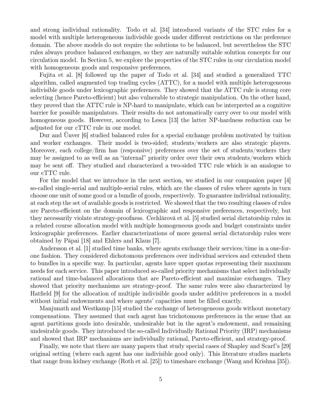and strong individual rationality. Todo et al. [34] introduced variants of the STC rules for a model with multiple heterogeneous indivisible goods under different restrictions on the preference domain. The above models do not require the solutions to be balanced, but nevertheless the STC rules always produce balanced exchanges, so they are naturally suitable solution concepts for our circulation model. In Section 5, we explore the properties of the STC rules in our circulation model with homogeneous goods and responsive preferences.

Fujita et al. [8] followed up the paper of Todo et al. [34] and studied a generalized TTC algorithm, called augmented top trading cycles (ATTC), for a model with multiple heterogeneous indivisible goods under lexicographic preferences. They showed that the ATTC rule is strong core selecting (hence Pareto-efficient) but also vulnerable to strategic manipulation. On the other hand, they proved that the ATTC rule is NP-hard to manipulate, which can be interpreted as a cognitive barrier for possible manipulators. Their results do not automatically carry over to our model with homogeneous goods. However, according to Lesca [13] the latter NP-hardness reduction can be adjusted for our cTTC rule in our model.

Dur and Ünver [6] studied balanced rules for a special exchange problem motivated by tuition and worker exchanges. Their model is two-sided; students/workers are also strategic players. Moreover, each college/firm has (responsive) preferences over the set of students/workers they may be assigned to as well as an "internal" priority order over their own students/workers which may be sent off. They studied and characterized a two-sided TTC rule which is an analogue to our cTTC rule.

For the model that we introduce in the next section, we studied in our companion paper [4] so-called single-serial and multiple-serial rules, which are the classes of rules where agents in turn choose one unit of some good or a bundle of goods, respectively. To guarantee individual rationality, at each step the set of available goods is restricted. We showed that the two resulting classes of rules are Pareto-efficient on the domain of lexicographic and responsive preferences, respectively, but they necessarily violate strategy-proofness. Cechlárová et al. [5] studied serial dictatorship rules in a related course allocation model with multiple homogeneous goods and budget constraints under lexicographic preferences. Earlier characterizations of more general serial dictatorship rules were obtained by Pápai [18] and Ehlers and Klaus [7].

Andersson et al. [1] studied time banks, where agents exchange their services/time in a one-forone fashion. They considered dichotomous preferences over individual services and extended them to bundles in a specific way. In particular, agents have upper quotas representing their maximum needs for each service. This paper introduced so-called priority mechanisms that select individually rational and time-balanced allocations that are Pareto-efficient and maximize exchanges. They showed that priority mechanisms are strategy-proof. The same rules were also characterized by Hatfield [9] for the allocation of multiple indivisible goods under additive preferences in a model without initial endowments and where agents' capacities must be filled exactly.

Manjunath and Westkamp [15] studied the exchange of heterogeneous goods without monetary compensations. They assumed that each agent has trichotomous preferences in the sense that an agent partitions goods into desirable, undesirable but in the agent's endowment, and remaining undesirable goods. They introduced the so-called Individually Rational Priority (IRP) mechanisms and showed that IRP mechanisms are individually rational, Pareto-efficient, and strategy-proof.

Finally, we note that there are many papers that study special cases of Shapley and Scarf's [29] original setting (where each agent has one indivisible good only). This literature studies markets that range from kidney exchange (Roth et al. [25]) to timeshare exchange (Wang and Krishna [35]).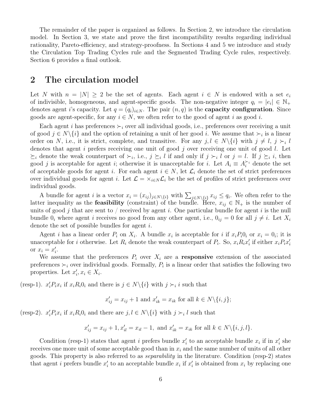The remainder of the paper is organized as follows. In Section 2, we introduce the circulation model. In Section 3, we state and prove the first incompatibility results regarding individual rationality, Pareto-efficiency, and strategy-proofness. In Sections 4 and 5 we introduce and study the Circulation Top Trading Cycles rule and the Segmented Trading Cycle rules, respectively. Section 6 provides a final outlook.

## 2 The circulation model

Let N with  $n = |N| \geq 2$  be the set of agents. Each agent  $i \in N$  is endowed with a set  $e_i$ of indivisible, homogeneous, and agent-specific goods. The non-negative integer  $q_i = |e_i| \in \mathbb{N}_+$ denotes agent i's capacity. Let  $q = (q_i)_{i \in N}$ . The pair  $(n, q)$  is the **capacity configuration**. Since goods are agent-specific, for any  $i \in N$ , we often refer to the good of agent i as good i.

Each agent i has preferences  $\succ_i$  over all individual goods, i.e., preferences over receiving a unit of good  $j \in N \setminus \{i\}$  and the option of retaining a unit of her good i. We assume that  $\succ_i$  is a linear order on N, i.e., it is strict, complete, and transitive. For any  $j, l \in N \setminus \{i\}$  with  $j \neq l, j \succ_i l$ denotes that agent  $i$  prefers receiving one unit of good  $j$  over receiving one unit of good  $l$ . Let  $\succeq_i$  denote the weak counterpart of  $\succ_i$ , i.e.,  $j \succeq_i l$  if and only if  $j \succ_i l$  or  $j = l$ . If  $j \succeq_i i$ , then good j is acceptable for agent i; otherwise it is unacceptable for i. Let  $A_i \equiv A_i^{\succ_i}$  denote the set of acceptable goods for agent i. For each agent  $i \in N$ , let  $\mathcal{L}_i$  denote the set of strict preferences over individual goods for agent i. Let  $\mathcal{L} = \times_{i \in N} \mathcal{L}_i$  be the set of profiles of strict preferences over individual goods.

A bundle for agent i is a vector  $x_i = (x_{ij})_{j \in N \setminus \{i\}}$  with  $\sum_{j \in N \setminus \{i\}} x_{ij} \le q_i$ . We often refer to the latter inequality as the **feasibility** (constraint) of the bundle. Here,  $x_{ij} \in \mathbb{N}_+$  is the number of units of good j that are sent to / received by agent i. One particular bundle for agent i is the null bundle  $0_i$  where agent i receives no good from any other agent, i.e.,  $0_{ij} = 0$  for all  $j \neq i$ . Let  $X_i$ denote the set of possible bundles for agent i.

Agent *i* has a linear order  $P_i$  on  $X_i$ . A bundle  $x_i$  is acceptable for *i* if  $x_i P_i 0_i$  or  $x_i = 0_i$ ; it is unacceptable for *i* otherwise. Let  $R_i$  denote the weak counterpart of  $P_i$ . So,  $x_i R_i x'_i$  if either  $x_i P_i x'_i$ or  $x_i = x'_i$ .

We assume that the preferences  $P_i$  over  $X_i$  are a responsive extension of the associated preferences  $\succ_i$  over individual goods. Formally,  $P_i$  is a linear order that satisfies the following two properties. Let  $x'_i, x_i \in X_i$ .

(resp-1).  $x'_i P_i x_i$  if  $x_i R_i 0_i$  and there is  $j \in N \setminus \{i\}$  with  $j \succ_i i$  such that

$$
x'_{ij} = x_{ij} + 1
$$
 and 
$$
x'_{ik} = x_{ik}
$$
 for all  $k \in N \setminus \{i, j\};$ 

(resp-2).  $x_i' P_i x_i$  if  $x_i R_i 0_i$  and there are  $j, l \in N \setminus \{i\}$  with  $j \succ_i l$  such that

$$
x'_{ij} = x_{ij} + 1, x'_{il} = x_{il} - 1
$$
, and  $x'_{ik} = x_{ik}$  for all  $k \in N \setminus \{i, j, l\}$ .

Condition (resp-1) states that agent *i* prefers bundle  $x'_i$  to an acceptable bundle  $x_i$  if in  $x'_i$  she receives one more unit of some acceptable good than in  $x_i$  and the same number of units of all other goods. This property is also referred to as separability in the literature. Condition (resp-2) states that agent *i* prefers bundle  $x_i'$  to an acceptable bundle  $x_i$  if  $x_i'$  is obtained from  $x_i$  by replacing one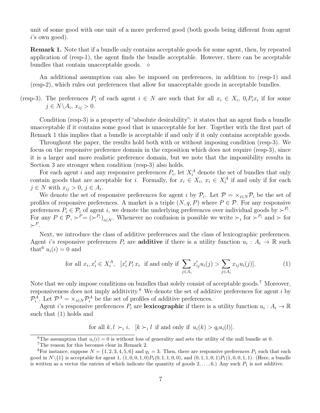unit of some good with one unit of a more preferred good (both goods being different from agent i's own good).

Remark 1. Note that if a bundle only contains acceptable goods for some agent, then, by repeated application of (resp-1), the agent finds the bundle acceptable. However, there can be acceptable bundles that contain unacceptable goods.  $\diamond$ 

An additional assumption can also be imposed on preferences, in addition to (resp-1) and (resp-2), which rules out preferences that allow for unacceptable goods in acceptable bundles.

(resp-3). The preferences  $P_i$  of each agent  $i \in N$  are such that for all  $x_i \in X_i$ ,  $0_i P_i x_i$  if for some  $j \in N \backslash A_i$ ,  $x_{ij} > 0$ .

Condition (resp-3) is a property of "absolute desirability": it states that an agent finds a bundle unacceptable if it contains some good that is unacceptable for her. Together with the first part of Remark 1 this implies that a bundle is acceptable if and only if it only contains acceptable goods.

Throughout the paper, the results hold both with or without imposing condition (resp-3). We focus on the responsive preference domain in the exposition which does not require (resp-3), since it is a larger and more realistic preference domain, but we note that the impossibility results in Section 3 are stronger when condition (resp-3) also holds.

For each agent i and any responsive preferences  $P_i$ , let  $X_i^A$  denote the set of bundles that only contain goods that are acceptable for *i*. Formally, for  $x_i \in X_i$ ,  $x_i \in X_i^A$  if and only if for each  $j \in N$  with  $x_{ij} > 0, j \in A_i$ .

We denote the set of responsive preferences for agent i by  $\mathcal{P}_i$ . Let  $\mathcal{P} = \times_{i \in N} \mathcal{P}_i$  be the set of profiles of responsive preferences. A market is a triple  $(N, q, P)$  where  $P \in \mathcal{P}$ . For any responsive preferences  $P_i \in \mathcal{P}_i$  of agent i, we denote the underlying preferences over individual goods by  $\succ^{P_i}$ . For any  $P \in \mathcal{P}, \succ^P = (\succ^{P_i})_{i \in N}$ . Whenever no confusion is possible we write  $\succ_i$  for  $\succ^{P_i}$  and  $\succ$  for  $\succ^P$ .

Next, we introduce the class of additive preferences and the class of lexicographic preferences. Agent i's responsive preferences  $P_i$  are **additive** if there is a utility function  $u_i: A_i \to \mathbb{R}$  such that<sup>6</sup>  $u_i(i) = 0$  and

for all 
$$
x_i, x'_i \in X_i^A
$$
,  $[x'_i P_i x_i \text{ if and only if } \sum_{j \in A_i} x'_{ij} u_i(j) > \sum_{j \in A_i} x_{ij} u_i(j)].$  (1)

Note that we only impose conditions on bundles that solely consist of acceptable goods.<sup>7</sup> Moreover, responsiveness does not imply additivity.<sup>8</sup> We denote the set of additive preferences for agent  $i$  by  $\mathcal{P}_i^A$ . Let  $\mathcal{P}^A = \times_{i \in N} \mathcal{P}_i^A$  be the set of profiles of additive preferences.

Agent *i*'s responsive preferences  $P_i$  are **lexicographic** if there is a utility function  $u_i : A_i \to \mathbb{R}$ such that (1) holds and

for all  $k, l \succ_i i$ ,  $[k \succ_i l$  if and only if  $u_i(k) > q_i u_i(l)$ .

<sup>&</sup>lt;sup>6</sup>The assumption that  $u_i(i) = 0$  is without loss of generality and sets the utility of the null bundle at 0.

<sup>7</sup>The reason for this becomes clear in Remark 2.

<sup>&</sup>lt;sup>8</sup>For instance, suppose  $N = \{1, 2, 3, 4, 5, 6\}$  and  $q_1 = 3$ . Then, there are responsive preferences  $P_1$  such that each good in  $N\setminus\{1\}$  is acceptable for agent 1,  $(1, 0, 0, 1, 0)P_1(0, 1, 1, 0, 0)$ , and  $(0, 1, 1, 0, 1)P_1(1, 0, 0, 1, 1)$ . (Here, a bundle is written as a vector the entries of which indicate the quantity of goods  $2, \ldots, 6$ .) Any such  $P_1$  is not additive.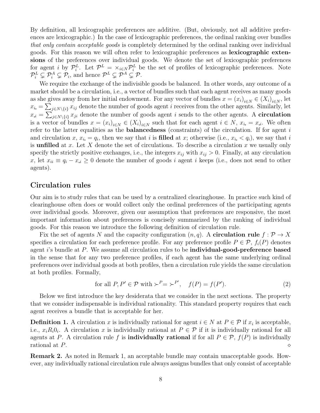By definition, all lexicographic preferences are additive. (But, obviously, not all additive preferences are lexicographic.) In the case of lexicographic preferences, the ordinal ranking over bundles that only contain acceptable goods is completely determined by the ordinal ranking over individual goods. For this reason we will often refer to lexicographic preferences as lexicographic extensions of the preferences over individual goods. We denote the set of lexicographic preferences for agent *i* by  $\mathcal{P}_i^L$ . Let  $\mathcal{P}^L = \times_{i \in N} \mathcal{P}_i^L$  be the set of profiles of lexicographic preferences. Note  $\mathcal{P}_i^L \subsetneq \mathcal{P}_i^A \subsetneq \mathcal{P}_i$ , and hence  $\mathcal{P}^L \subsetneq \mathcal{P}^A \subsetneq \mathcal{P}$ .

We require the exchange of the indivisible goods be balanced. In other words, any outcome of a market should be a circulation, i.e., a vector of bundles such that each agent receives as many goods as she gives away from her initial endowment. For any vector of bundles  $x = (x_i)_{i \in N} \in (X_i)_{i \in N}$ , let  $x_i = \sum_{j \in N \setminus \{i\}} x_{ij}$  denote the number of goods agent i receives from the other agents. Similarly, let  $x_i = \sum_{j \in N \setminus \{i\}} x_{ji}$  denote the number of goods agent i sends to the other agents. A **circulation** is a vector of bundles  $x = (x_i)_{i \in N} \in (X_i)_{i \in N}$  such that for each agent  $i \in N$ ,  $x_i = x_i$ . We often refer to the latter equalities as the **balancedness** (constraints) of the circulation. If for agent  $i$ and circulation x,  $x_i = q_i$ , then we say that i is **filled** at x; otherwise (i.e.,  $x_i < q_i$ ), we say that i is **unfilled** at x. Let X denote the set of circulations. To describe a circulation x we usually only specify the strictly positive exchanges, i.e., the integers  $x_{ij}$  with  $x_{ij} > 0$ . Finally, at any circulation x, let  $x_{ii} \equiv q_i - x_i \geq 0$  denote the number of goods i agent i keeps (i.e., does not send to other agents).

#### Circulation rules

Our aim is to study rules that can be used by a centralized clearinghouse. In practice such kind of clearinghouse often does or would collect only the ordinal preferences of the participating agents over individual goods. Moreover, given our assumption that preferences are responsive, the most important information about preferences is concisely summarized by the ranking of individual goods. For this reason we introduce the following definition of circulation rule.

Fix the set of agents N and the capacity configuration  $(n, q)$ . A **circulation rule**  $f : \mathcal{P} \to X$ specifies a circulation for each preference profile. For any preference profile  $P \in \mathcal{P}$ ,  $f_i(P)$  denotes agent  $i$ 's bundle at  $P$ . We assume all circulation rules to be **individual-good-preference based** in the sense that for any two preference profiles, if each agent has the same underlying ordinal preferences over individual goods at both profiles, then a circulation rule yields the same circulation at both profiles. Formally,

for all 
$$
P, P' \in \mathcal{P}
$$
 with  $\succ^P = \succ^{P'}$ ,  $f(P) = f(P')$ . (2)

Below we first introduce the key desiderata that we consider in the next sections. The property that we consider indispensable is individual rationality. This standard property requires that each agent receives a bundle that is acceptable for her.

**Definition 1.** A circulation x is individually rational for agent  $i \in N$  at  $P \in \mathcal{P}$  if  $x_i$  is acceptable, i.e.,  $x_i R_i 0_i$ . A circulation x is individually rational at  $P \in \mathcal{P}$  if it is individually rational for all agents at P. A circulation rule f is **individually rational** if for all  $P \in \mathcal{P}$ ,  $f(P)$  is individually rational at P.  $\Diamond$ 

Remark 2. As noted in Remark 1, an acceptable bundle may contain unacceptable goods. However, any individually rational circulation rule always assigns bundles that only consist of acceptable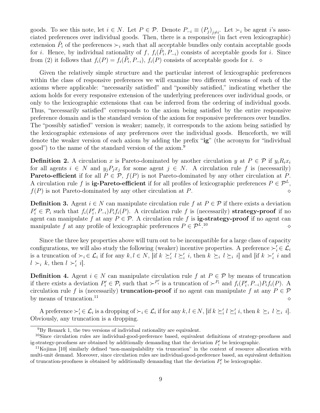goods. To see this note, let  $i \in N$ . Let  $P \in \mathcal{P}$ . Denote  $P_{-i} \equiv (P_j)_{j \neq i}$ . Let  $\succ_i$  be agent i's associated preferences over individual goods. Then, there is a responsive (in fact even lexicographic) extension  $\tilde{P}_i$  of the preferences  $\succ_i$  such that all acceptable bundles only contain acceptable goods for *i*. Hence, by individual rationality of f,  $f_i(\tilde{P}_i, \tilde{P}_{-i})$  consists of acceptable goods for *i*. Since from (2) it follows that  $f_i(P) = f_i(\tilde{P}_i, P_{-i}), f_i(P)$  consists of acceptable goods for i.  $\diamond$ 

Given the relatively simple structure and the particular interest of lexicographic preferences within the class of responsive preferences we will examine two different versions of each of the axioms where applicable: "necessarily satisfied" and "possibly satisfied," indicating whether the axiom holds for every responsive extension of the underlying preferences over individual goods, or only to the lexicographic extensions that can be inferred from the ordering of individual goods. Thus, "necessarily satisfied" corresponds to the axiom being satisfied by the entire responsive preference domain and is the standard version of the axiom for responsive preferences over bundles. The "possibly satisfied" version is weaker; namely, it corresponds to the axiom being satisfied by the lexicographic extensions of any preferences over the individual goods. Henceforth, we will denote the weaker version of each axiom by adding the prefix "ig" (the acronym for "individual good") to the name of the standard version of the axiom.<sup>9</sup>

**Definition 2.** A circulation x is Pareto-dominated by another circulation y at  $P \in \mathcal{P}$  if  $y_i R_i x_i$ for all agents  $i \in N$  and  $y_j P_j x_j$  for some agent  $j \in N$ . A circulation rule f is (necessarily) **Pareto-efficient** if for all  $P \in \mathcal{P}$ ,  $f(P)$  is not Pareto-dominated by any other circulation at P. A circulation rule f is **ig-Pareto-efficient** if for all profiles of lexicographic preferences  $P \in \mathcal{P}^L$ ,  $f(P)$  is not Pareto-dominated by any other circulation at P.  $\Diamond$ 

**Definition 3.** Agent  $i \in N$  can manipulate circulation rule f at  $P \in \mathcal{P}$  if there exists a deviation  $P'_i \in \mathcal{P}_i$  such that  $f_i(P'_i, P_{-i})P_if_i(P)$ . A circulation rule f is (necessarily) strategy-proof if no agent can manipulate f at any  $P \in \mathcal{P}$ . A circulation rule f is **ig-strategy-proof** if no agent can manipulate f at any profile of lexicographic preferences  $P \in \mathcal{P}^L$ . <sup>10</sup> ⋄

Since the three key properties above will turn out to be incompatible for a large class of capacity configurations, we will also study the following (weaker) incentive properties. A preference  $\succ_i' \in \mathcal{L}_i$ is a truncation of  $\succ_i \in \mathcal{L}_i$  if for any  $k, l \in N$ , [if  $k \succeq_i l \succeq_i i$ , then  $k \succeq_i l \succeq_i l$ ] and [if  $k \succ_i' i$  and  $l >_i k$ , then  $l >'_i i$ .

**Definition 4.** Agent  $i \in N$  can manipulate circulation rule f at  $P \in \mathcal{P}$  by means of truncation if there exists a deviation  $P'_i \in \mathcal{P}_i$  such that  $\succ^{P'_i}$  is a truncation of  $\succ^{P_i}$  and  $f_i(P'_i, P_{-i})P_if_i(P)$ . A circulation rule f is (necessarily) **truncation-proof** if no agent can manipulate f at any  $P \in \mathcal{P}$ by means of truncation.<sup>11</sup> ⋄

A preference  $\succ_i' \in \mathcal{L}_i$  is a dropping of  $\succ_i \in \mathcal{L}_i$  if for any  $k, l \in \mathbb{N}$ , [if  $k \succeq_i' l \succeq_i' i$ , then  $k \succeq_i l \succeq_i i$ ]. Obviously, any truncation is a dropping.

<sup>&</sup>lt;sup>9</sup>By Remark 1, the two versions of individual rationality are equivalent.

<sup>&</sup>lt;sup>10</sup>Since circulation rules are individual-good-preference based, equivalent definitions of strategy-proofness and ig-strategy-proofness are obtained by additionally demanding that the deviation  $P'_i$  be lexicographic.

 $11$ Kojima [10] similarly defined "non-manipulability via truncation" in the context of resource allocation with multi-unit demand. Moreover, since circulation rules are individual-good-preference based, an equivalent definition of truncation-proofness is obtained by additionally demanding that the deviation  $P'_i$  be lexicographic.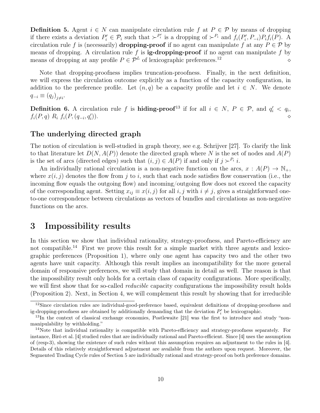**Definition 5.** Agent  $i \in N$  can manipulate circulation rule f at  $P \in \mathcal{P}$  by means of dropping if there exists a deviation  $P'_i \in \mathcal{P}_i$  such that  $\succ^{P'_i}$  is a dropping of  $\succ^{P_i}$  and  $f_i(P'_i, P_{-i})P_if_i(P)$ . A circulation rule f is (necessarily) **dropping-proof** if no agent can manipulate f at any  $P \in \mathcal{P}$  by means of dropping. A circulation rule f is **ig-dropping-proof** if no agent can manipulate f by means of dropping at any profile P ∈ P<sup>L</sup> of lexicographic preferences.<sup>12</sup> ⋄

Note that dropping-proofness implies truncation-proofness. Finally, in the next definition, we will express the circulation outcome explicitly as a function of the capacity configuration, in addition to the preference profile. Let  $(n,q)$  be a capacity profile and let  $i \in N$ . We denote  $q_{-i} \equiv (q_j)_{j \neq i}$ 

**Definition 6.** A circulation rule f is **hiding-proof**<sup>13</sup> if for all  $i \in N$ ,  $P \in \mathcal{P}$ , and  $q'_i < q_i$ ,  $f_i(P,q) R_i f_i(P, (q_{-i}, q'_i))$ )).  $\Diamond$ 

#### The underlying directed graph

The notion of circulation is well-studied in graph theory, see e.g. Schrijver [27]. To clarify the link to that literature let  $D(N, A(P))$  denote the directed graph where N is the set of nodes and  $A(P)$ is the set of arcs (directed edges) such that  $(i, j) \in A(P)$  if and only if  $j \succ^{P_i} i$ .

An individually rational circulation is a non-negative function on the arcs,  $x : A(P) \to \mathbb{N}_+$ , where  $x(i, j)$  denotes the flow from j to i, such that each node satisfies flow conservation (i.e., the incoming flow equals the outgoing flow) and incoming/outgoing flow does not exceed the capacity of the corresponding agent. Setting  $x_{ij} \equiv x(i, j)$  for all  $i, j$  with  $i \neq j$ , gives a straightforward oneto-one correspondence between circulations as vectors of bundles and circulations as non-negative functions on the arcs.

## 3 Impossibility results

In this section we show that individual rationality, strategy-proofness, and Pareto-efficiency are not compatible.<sup>14</sup> First we prove this result for a simple market with three agents and lexicographic preferences (Proposition 1), where only one agent has capacity two and the other two agents have unit capacity. Although this result implies an incompatibility for the more general domain of responsive preferences, we will study that domain in detail as well. The reason is that the impossibility result only holds for a certain class of capacity configurations. More specifically, we will first show that for so-called *reducible* capacity configurations the impossibility result holds (Proposition 2). Next, in Section 4, we will complement this result by showing that for irreducible

 $12$ Since circulation rules are individual-good-preference based, equivalent definitions of dropping-proofness and ig-dropping-proofness are obtained by additionally demanding that the deviation  $P'_i$  be lexicographic.

<sup>&</sup>lt;sup>13</sup>In the context of classical exchange economies, Postlewaite [21] was the first to introduce and study "nonmanipulability by withholding."

<sup>14</sup>Note that individual rationality is compatible with Pareto-efficiency and strategy-proofness separately. For instance, Biró et al. [4] studied rules that are individually rational and Pareto-efficient. Since [4] uses the assumption of (resp-3), showing the existence of such rules without this assumption requires an adjustment to the rules in [4]. Details of this relatively straightforward adjustment are available from the authors upon request. Moreover, the Segmented Trading Cycle rules of Section 5 are individually rational and strategy-proof on both preference domains.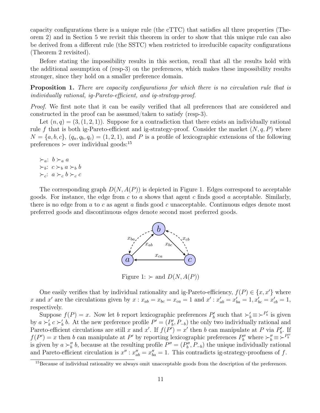capacity configurations there is a unique rule (the cTTC) that satisfies all three properties (Theorem 2) and in Section 5 we revisit this theorem in order to show that this unique rule can also be derived from a different rule (the SSTC) when restricted to irreducible capacity configurations (Theorem 2 revisited).

Before stating the impossibility results in this section, recall that all the results hold with the additional assumption of (resp-3) on the preferences, which makes these impossibility results stronger, since they hold on a smaller preference domain.

Proposition 1. There are capacity configurations for which there is no circulation rule that is individually rational, ig-Pareto-efficient, and ig-strategy-proof.

Proof. We first note that it can be easily verified that all preferences that are considered and constructed in the proof can be assumed/taken to satisfy (resp-3).

Let  $(n, q) = (3, (1, 2, 1))$ . Suppose for a contradiction that there exists an individually rational rule f that is both ig-Pareto-efficient and ig-strategy-proof. Consider the market  $(N, q, P)$  where  $N = \{a, b, c\}, (q_a, q_b, q_c) = (1, 2, 1),$  and P is a profile of lexicographic extensions of the following  $preferences$  ≻ over individual goods:<sup>15</sup>

$$
\succ_a: b \succ_a a
$$
  
\n
$$
\succ_b: c \succ_b a \succ_b b
$$
  
\n
$$
\succ_c: a \succ_c b \succ_c c
$$

The corresponding graph  $D(N, A(P))$  is depicted in Figure 1. Edges correspond to acceptable goods. For instance, the edge from c to a shows that agent c finds good a acceptable. Similarly, there is no edge from a to c as agent a finds good c unacceptable. Continuous edges denote most preferred goods and discontinuous edges denote second most preferred goods.



Figure 1:  $\succ$  and  $D(N, A(P))$ 

One easily verifies that by individual rationality and ig-Pareto-efficiency,  $f(P) \in \{x, x'\}$  where x and x' are the circulations given by  $x : x_{ab} = x_{bc} = x_{ca} = 1$  and  $x' : x'_{ab} = x'_{ba} = 1, x'_{bc} = x'_{cb} = 1$ , respectively.

Suppose  $f(P) = x$ . Now let b report lexicographic preferences  $P'_b$  such that  $\succ'_b \equiv \succ^{P'_b}$  is given by  $a \succ'_{b} c \succ'_{b} b$ . At the new preference profile  $P' = (P'_{b}, P_{-b})$  the only two individually rational and Pareto-efficient circulations are still x and x'. If  $f(P') = x'$  then b can manipulate at P via  $P'_b$ . If  $f(P') = x$  then b can manipulate at P' by reporting lexicographic preferences  $P''_b$  where  $\succ_b'' \equiv \succ^{P''_b}$ is given by  $a \succ_b'' b$ , because at the resulting profile  $P'' = (P''_b, P_{-b})$  the unique individually rational and Pareto-efficient circulation is  $x''$ :  $x''_{ab} = x''_{ba} = 1$ . This contradicts ig-strategy-proofness of f.

<sup>&</sup>lt;sup>15</sup>Because of individual rationality we always omit unacceptable goods from the description of the preferences.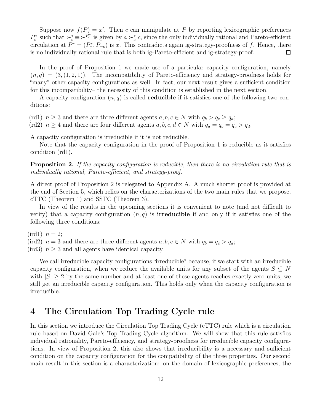Suppose now  $f(P) = x'$ . Then c can manipulate at P by reporting lexicographic preferences  $P_c^*$  such that  $\succ_c^* \equiv \succ^{P_c^*}$  is given by  $a \succ_c^* c$ , since the only individually rational and Pareto-efficient circulation at  $P^* = (P_c^*, P_{-c})$  is x. This contradicts again ig-strategy-proofness of f. Hence, there is no individually rational rule that is both ig-Pareto-efficient and ig-strategy-proof.  $\Box$ 

In the proof of Proposition 1 we made use of a particular capacity configuration, namely  $(n, q) = (3, (1, 2, 1))$ . The incompatibility of Pareto-efficiency and strategy-proofness holds for "many" other capacity configurations as well. In fact, our next result gives a sufficient condition for this incompatibility– the necessity of this condition is established in the next section.

A capacity configuration  $(n, q)$  is called **reducible** if it satisfies one of the following two conditions:

(rd1)  $n \geq 3$  and there are three different agents  $a, b, c \in N$  with  $q_b > q_c \geq q_a$ ;

(rd2)  $n \geq 4$  and there are four different agents  $a, b, c, d \in N$  with  $q_a = q_b = q_c > q_d$ .

A capacity configuration is irreducible if it is not reducible.

Note that the capacity configuration in the proof of Proposition 1 is reducible as it satisfies condition (rd1).

Proposition 2. If the capacity configuration is reducible, then there is no circulation rule that is individually rational, Pareto-efficient, and strategy-proof.

A direct proof of Proposition 2 is relegated to Appendix A. A much shorter proof is provided at the end of Section 5, which relies on the characterizations of the two main rules that we propose, cTTC (Theorem 1) and SSTC (Theorem 3).

In view of the results in the upcoming sections it is convenient to note (and not difficult to verify) that a capacity configuration  $(n, q)$  is **irreducible** if and only if it satisfies one of the following three conditions:

 $(\text{ird1})$   $n=2;$ 

(ird2)  $n = 3$  and there are three different agents  $a, b, c \in N$  with  $q_b = q_c > q_a$ ;  $(\text{ird3})$   $n \geq 3$  and all agents have identical capacity.

We call irreducible capacity configurations "irreducible" because, if we start with an irreducible capacity configuration, when we reduce the available units for any subset of the agents  $S \subseteq N$ with  $|S| \geq 2$  by the same number and at least one of these agents reaches exactly zero units, we still get an irreducible capacity configuration. This holds only when the capacity configuration is irreducible.

## 4 The Circulation Top Trading Cycle rule

In this section we introduce the Circulation Top Trading Cycle (cTTC) rule which is a circulation rule based on David Gale's Top Trading Cycle algorithm. We will show that this rule satisfies individual rationality, Pareto-efficiency, and strategy-proofness for irreducible capacity configurations. In view of Proposition 2, this also shows that irreducibility is a necessary and sufficient condition on the capacity configuration for the compatibility of the three properties. Our second main result in this section is a characterization: on the domain of lexicographic preferences, the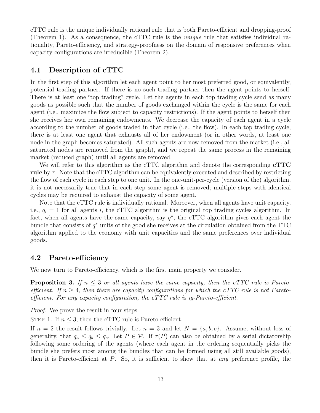cTTC rule is the unique individually rational rule that is both Pareto-efficient and dropping-proof (Theorem 1). As a consequence, the cTTC rule is the unique rule that satisfies individual rationality, Pareto-efficiency, and strategy-proofness on the domain of responsive preferences when capacity configurations are irreducible (Theorem 2).

#### 4.1 Description of cTTC

In the first step of this algorithm let each agent point to her most preferred good, or equivalently, potential trading partner. If there is no such trading partner then the agent points to herself. There is at least one "top trading" cycle. Let the agents in each top trading cycle send as many goods as possible such that the number of goods exchanged within the cycle is the same for each agent (i.e., maximize the flow subject to capacity restrictions). If the agent points to herself then she receives her own remaining endowments. We decrease the capacity of each agent in a cycle according to the number of goods traded in that cycle (i.e., the flow). In each top trading cycle, there is at least one agent that exhausts all of her endowment (or in other words, at least one node in the graph becomes saturated). All such agents are now removed from the market (i.e., all saturated nodes are removed from the graph), and we repeat the same process in the remaining market (reduced graph) until all agents are removed.

We will refer to this algorithm as the cTTC algorithm and denote the corresponding **cTTC** rule by  $\tau$ . Note that the cTTC algorithm can be equivalently executed and described by restricting the flow of each cycle in each step to one unit. In the one-unit-per-cycle (version of the) algorithm, it is not necessarily true that in each step some agent is removed; multiple steps with identical cycles may be required to exhaust the capacity of some agent.

Note that the cTTC rule is individually rational. Moreover, when all agents have unit capacity, i.e.,  $q_i = 1$  for all agents i, the cTTC algorithm is the original top trading cycles algorithm. In fact, when all agents have the same capacity, say  $q^*$ , the cTTC algorithm gives each agent the bundle that consists of  $q^*$  units of the good she receives at the circulation obtained from the TTC algorithm applied to the economy with unit capacities and the same preferences over individual goods.

#### 4.2 Pareto-efficiency

We now turn to Pareto-efficiency, which is the first main property we consider.

**Proposition 3.** If  $n \leq 3$  or all agents have the same capacity, then the cTTC rule is Paretoefficient. If  $n \geq 4$ , then there are capacity configurations for which the cTTC rule is not Paretoefficient. For any capacity configuration, the cTTC rule is ig-Pareto-efficient.

Proof. We prove the result in four steps.

STEP 1. If  $n \leq 3$ , then the cTTC rule is Pareto-efficient.

If  $n = 2$  the result follows trivially. Let  $n = 3$  and let  $N = \{a, b, c\}$ . Assume, without loss of generality, that  $q_a \le q_b \le q_c$ . Let  $P \in \mathcal{P}$ . If  $\tau(P)$  can also be obtained by a serial dictatorship following some ordering of the agents (where each agent in the ordering sequentially picks the bundle she prefers most among the bundles that can be formed using all still available goods), then it is Pareto-efficient at  $P$ . So, it is sufficient to show that at *any* preference profile, the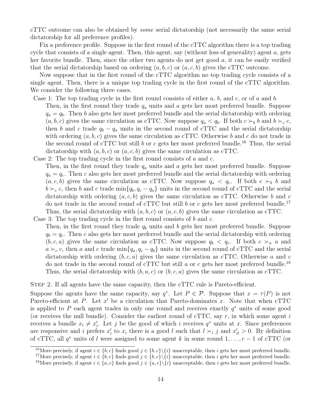cTTC outcome can also be obtained by some serial dictatorship (not necessarily the same serial dictatorship for all preference profiles).

Fix a preference profile. Suppose in the first round of the cTTC algorithm there is a top trading cycle that consists of a single agent. Then, this agent, say (without loss of generality) agent a, gets her favorite bundle. Then, since the other two agents do not get good  $a$ , it can be easily verified that the serial dictatorship based on ordering  $(a, b, c)$  or  $(a, c, b)$  gives the cTTC outcome.

Now suppose that in the first round of the cTTC algorithm no top trading cycle consists of a single agent. Then, there is a unique top trading cycle in the first round of the cTTC algorithm. We consider the following three cases.

Case 1: The top trading cycle in the first round consists of either  $a, b$ , and  $c$ , or of a and b.

- Then, in the first round they trade  $q_a$  units and a gets her most preferred bundle. Suppose  $q_a = q_b$ . Then b also gets her most preferred bundle and the serial dictatorship with ordering  $(a, b, c)$  gives the same circulation as cTTC. Now suppose  $q_a < q_b$ . If both  $c \succ_b b$  and  $b \succ_c c$ , then b and c trade  $q_b - q_a$  units in the second round of cTTC and the serial dictatorship with ordering  $(a, b, c)$  gives the same circulation as cTTC. Otherwise b and c do not trade in the second round of cTTC but still b or c gets her most preferred bundle.<sup>16</sup> Thus, the serial dictatorship with  $(a, b, c)$  or  $(a, c, b)$  gives the same circulation as cTTC.
- Case 2: The top trading cycle in the first round consists of a and c.

Then, in the first round they trade  $q_a$  units and a gets her most preferred bundle. Suppose  $q_a = q_c$ . Then c also gets her most preferred bundle and the serial dictatorship with ordering  $(a, c, b)$  gives the same circulation as cTTC. Now suppose  $q_a < q_c$ . If both  $c >_b b$  and  $b \succ_c c$ , then b and c trade min $\{q_b, q_c - q_a\}$  units in the second round of cTTC and the serial dictatorship with ordering  $(a, c, b)$  gives the same circulation as cTTC. Otherwise b and c do not trade in the second round of cTTC but still b or c gets her most preferred bundle.<sup>17</sup> Thus, the serial dictatorship with  $(a, b, c)$  or  $(a, c, b)$  gives the same circulation as cTTC.

Case 3: The top trading cycle in the first round consists of  $b$  and  $c$ .

Then, in the first round they trade  $q<sub>b</sub>$  units and b gets her most preferred bundle. Suppose  $q_b = q_c$ . Then c also gets her most preferred bundle and the serial dictatorship with ordering  $(b, c, a)$  gives the same circulation as cTTC. Now suppose  $q_b < q_c$ . If both  $c >_a a$  and  $a \succ_c c$ , then a and c trade min $\{q_a, q_c - q_b\}$  units in the second round of cTTC and the serial dictatorship with ordering  $(b, c, a)$  gives the same circulation as cTTC. Otherwise a and c do not trade in the second round of cTTC but still a or c gets her most preferred bundle.<sup>18</sup> Thus, the serial dictatorship with  $(b, a, c)$  or  $(b, c, a)$  gives the same circulation as cTTC.

Step 2. If all agents have the same capacity, then the cTTC rule is Pareto-efficient.

Suppose the agents have the same capacity, say  $q^*$ . Let  $P \in \mathcal{P}$ . Suppose that  $x = \tau(P)$  is not Pareto-efficient at  $P$ . Let  $x'$  be a circulation that Pareto-dominates  $x$ . Note that when cTTC is applied to P each agent trades in only one round and receives exactly  $q^*$  units of some good (or receives the null bundle). Consider the earliest round of  $cTTC$ , say r, in which some agent i receives a bundle  $x_i \neq x'_i$ . Let j be the good of which i receives  $q^*$  units at x. Since preferences are responsive and i prefers  $x'_i$  to  $x_i$  there is a good l such that  $l \succ_i j$  and  $x'_{il} > 0$ . By definition of cTTC, all  $q^*$  units of l were assigned to some agent k in some round  $1, \ldots, r-1$  of cTTC (or

<sup>&</sup>lt;sup>16</sup>More precisely, if agent  $i \in \{b, c\}$  finds good  $j \in \{b, c\} \setminus \{i\}$  unacceptable, then i gets her most preferred bundle.

<sup>&</sup>lt;sup>17</sup>More precisely, if agent  $i \in \{b, c\}$  finds good  $j \in \{b, c\} \backslash \{i\}$  unacceptable, then i gets her most preferred bundle.

<sup>&</sup>lt;sup>18</sup>More precisely, if agent  $i \in \{a, c\}$  finds good  $j \in \{a, c\} \backslash \{i\}$  unacceptable, then i gets her most preferred bundle.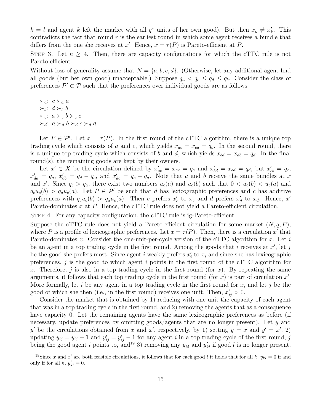$k = l$  and agent k left the market with all  $q^*$  units of her own good). But then  $x_k \neq x'_k$ . This contradicts the fact that round  $r$  is the earliest round in which some agent receives a bundle that differs from the one she receives at x'. Hence,  $x = \tau(P)$  is Pareto-efficient at P.

STEP 3. Let  $n \geq 4$ . Then, there are capacity configurations for which the cTTC rule is not Pareto-efficient.

Without loss of generality assume that  $N = \{a, b, c, d\}$ . (Otherwise, let any additional agent find all goods (but her own good) unacceptable.) Suppose  $q_a < q_c \leq q_d \leq q_b$ . Consider the class of preferences  $\mathcal{P}' \subset \mathcal{P}$  such that the preferences over individual goods are as follows:

 $\succ_a$ :  $c \succ_a a$  $\succ_b$ :  $d \succ_b b$  $\succ_c$ :  $a \succ_c b \succ_c c$  $\succ_d$ :  $a \succ_d b \succ_d c \succ_d d$ 

Let  $P \in \mathcal{P}'$ . Let  $x = \tau(P)$ . In the first round of the cTTC algorithm, there is a unique top trading cycle which consists of a and c, which yields  $x_{ac} = x_{ca} = q_a$ . In the second round, there is a unique top trading cycle which consists of b and d, which yields  $x_{bd} = x_{db} = q_d$ . In the final round(s), the remaining goods are kept by their owners.

Let  $x' \in X$  be the circulation defined by  $x'_{ac} = x_{ac} = q_a$  and  $x'_{bd} = x_{bd} = q_d$ , but  $x'_{cb} = q_c$ ,  $x'_{da} = q_a, x'_{db} = q_d - q_c$ , and  $x'_{dc} = q_c - q_a$ . Note that a and b receive the same bundles at x and x'. Since  $q_c > q_a$ , there exist two numbers  $u_c(a)$  and  $u_c(b)$  such that  $0 < u_c(b) < u_c(a)$  and  $q_cu_c(b) > q_a u_c(a)$ . Let  $P \in \mathcal{P}'$  be such that d has lexicographic preferences and c has additive preferences with  $q_c u_c(b) > q_a u_c(a)$ . Then c prefers  $x'_c$  to  $x_c$  and d prefers  $x'_d$  to  $x_d$ . Hence,  $x'$ Pareto-dominates x at P. Hence, the cTTC rule does not yield a Pareto-efficient circulation.

Step 4. For any capacity configuration, the cTTC rule is ig-Pareto-efficient.

Suppose the cTTC rule does not yield a Pareto-efficient circulation for some market  $(N, q, P)$ , where P is a profile of lexicographic preferences. Let  $x = \tau(P)$ . Then, there is a circulation x' that Pareto-dominates x. Consider the one-unit-per-cycle version of the cTTC algorithm for x. Let i be an agent in a top trading cycle in the first round. Among the goods that i receives at  $x'$ , let j be the good she prefers most. Since agent i weakly prefers  $x_i'$  to  $x_i$  and since she has lexicographic preferences, j is the good to which agent i points in the first round of the cTTC algorithm for x. Therefore,  $i$  is also in a top trading cycle in the first round (for x). By repeating the same arguments, it follows that each top trading cycle in the first round (for  $x$ ) is part of circulation  $x'$ . More formally, let i be any agent in a top trading cycle in the first round for  $x$ , and let j be the good of which she then (i.e., in the first round) receives one unit. Then,  $x'_{ij} > 0$ .

Consider the market that is obtained by 1) reducing with one unit the capacity of each agent that was in a top trading cycle in the first round, and 2) removing the agents that as a consequence have capacity 0. Let the remaining agents have the same lexicographic preferences as before (if necessary, update preferences by omitting goods/agents that are no longer present). Let  $y$  and y' be the circulations obtained from x and x', respectively, by 1) setting  $y = x$  and  $y' = x'$ , 2) updating  $y_{ij} = y_{ij} - 1$  and  $y'_{ij} = y'_{ij} - 1$  for any agent i in a top trading cycle of the first round, j being the good agent i points to, and <sup>19</sup> 3) removing any  $y_{kl}$  and  $y'_{kl}$  if good l is no longer present,

<sup>&</sup>lt;sup>19</sup>Since x and x' are both feasible circulations, it follows that for each good l it holds that for all k,  $y_{kl} = 0$  if and only if for all  $k, y'_{kl} = 0$ .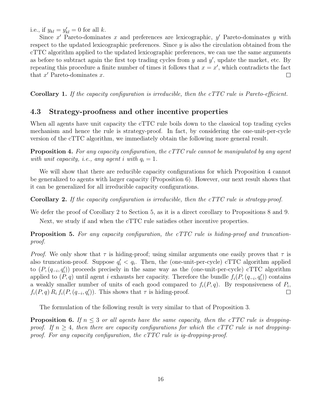i.e., if  $y_{kl} = y'_{kl} = 0$  for all k.

Since  $x'$  Pareto-dominates  $x$  and preferences are lexicographic,  $y'$  Pareto-dominates  $y$  with respect to the updated lexicographic preferences. Since  $y$  is also the circulation obtained from the cTTC algorithm applied to the updated lexicographic preferences, we can use the same arguments as before to subtract again the first top trading cycles from  $y$  and  $y'$ , update the market, etc. By repeating this procedure a finite number of times it follows that  $x = x'$ , which contradicts the fact that  $x'$  Pareto-dominates  $x$ .  $\Box$ 

Corollary 1. If the capacity configuration is irreducible, then the cTTC rule is Pareto-efficient.

#### 4.3 Strategy-proofness and other incentive properties

When all agents have unit capacity the cTTC rule boils down to the classical top trading cycles mechanism and hence the rule is strategy-proof. In fact, by considering the one-unit-per-cycle version of the cTTC algorithm, we immediately obtain the following more general result.

Proposition 4. For any capacity configuration, the cTTC rule cannot be manipulated by any agent with unit capacity, i.e., any agent i with  $q_i = 1$ .

We will show that there are reducible capacity configurations for which Proposition 4 cannot be generalized to agents with larger capacity (Proposition 6). However, our next result shows that it can be generalized for all irreducible capacity configurations.

**Corollary 2.** If the capacity configuration is irreducible, then the cTTC rule is strategy-proof.

We defer the proof of Corollary 2 to Section 5, as it is a direct corollary to Propositions 8 and 9.

Next, we study if and when the cTTC rule satisfies other incentive properties.

**Proposition 5.** For any capacity configuration, the cTTC rule is hiding-proof and truncationproof.

*Proof.* We only show that  $\tau$  is hiding-proof; using similar arguments one easily proves that  $\tau$  is also truncation-proof. Suppose  $q'_i < q_i$ . Then, the (one-unit-per-cycle) cTTC algorithm applied to  $(P, (q_{-i}, q'_i))$  proceeds precisely in the same way as the (one-unit-per-cycle) cTTC algorithm applied to  $(P, q)$  until agent i exhausts her capacity. Therefore the bundle  $f_i(P, (q_{-i}, q'_i))$  contains a weakly smaller number of units of each good compared to  $f_i(P, q)$ . By responsiveness of  $P_i$ ,  $f_i(P,q) R_i f_i(P,(q_{-i}, q'_i))$ . This shows that  $\tau$  is hiding-proof.  $\Box$ 

The formulation of the following result is very similar to that of Proposition 3.

**Proposition 6.** If  $n \leq 3$  or all agents have the same capacity, then the cTTC rule is droppingproof. If  $n \geq 4$ , then there are capacity configurations for which the cTTC rule is not droppingproof. For any capacity configuration, the cTTC rule is ig-dropping-proof.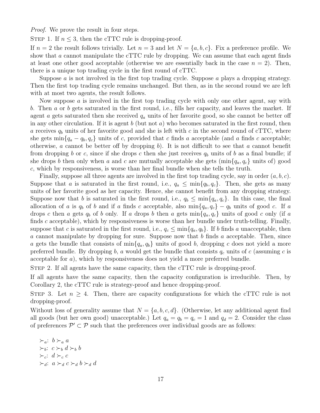Proof. We prove the result in four steps.

STEP 1. If  $n \leq 3$ , then the cTTC rule is dropping-proof.

If  $n = 2$  the result follows trivially. Let  $n = 3$  and let  $N = \{a, b, c\}$ . Fix a preference profile. We show that  $\alpha$  cannot manipulate the cTTC rule by dropping. We can assume that each agent finds at least one other good acceptable (otherwise we are essentially back in the case  $n = 2$ ). Then, there is a unique top trading cycle in the first round of cTTC.

Suppose  $\alpha$  is not involved in the first top trading cycle. Suppose  $\alpha$  plays a dropping strategy. Then the first top trading cycle remains unchanged. But then, as in the second round we are left with at most two agents, the result follows.

Now suppose  $\alpha$  is involved in the first top trading cycle with only one other agent, say with b. Then a or b gets saturated in the first round, i.e., fills her capacity, and leaves the market. If agent a gets saturated then she received  $q_a$  units of her favorite good, so she cannot be better off in any other circulation. If it is agent  $b$  (but not  $a$ ) who becomes saturated in the first round, then a receives  $q_b$  units of her favorite good and she is left with c in the second round of cTTC, where she gets  $\min\{q_a - q_b, q_c\}$  units of c, provided that c finds a acceptable (and a finds c acceptable; otherwise, a cannot be better off by dropping  $b$ ). It is not difficult to see that a cannot benefit from dropping b or c, since if she drops c then she just receives  $q_b$  units of b as a final bundle; if she drops b then only when a and c are mutually acceptable she gets  $(\min\{q_a, q_c\})$  units of) good c, which by responsiveness, is worse than her final bundle when she tells the truth.

Finally, suppose all three agents are involved in the first top trading cycle, say in order  $(a, b, c)$ . Suppose that a is saturated in the first round, i.e.,  $q_a \leq \min\{q_b, q_c\}$ . Then, she gets as many units of her favorite good as her capacity. Hence, she cannot benefit from any dropping strategy. Suppose now that b is saturated in the first round, i.e.,  $q_b \leq \min\{q_a, q_c\}$ . In this case, the final allocation of a is  $q_b$  of b and if a finds c acceptable, also min $\{q_a, q_c\} - q_b$  units of good c. If a drops c then a gets  $q_b$  of b only. If a drops b then a gets  $\min\{q_a, q_c\}$  units of good c only (if a finds  $c$  acceptable), which by responsiveness is worse than her bundle under truth-telling. Finally, suppose that c is saturated in the first round, i.e.,  $q_c \leq \min\{q_a, q_b\}$ . If b finds a unacceptable, then a cannot manipulate by dropping for sure. Suppose now that  $b$  finds a acceptable. Then, since a gets the bundle that consists of  $\min\{q_a, q_b\}$  units of good b, dropping c does not yield a more preferred bundle. By dropping b, a would get the bundle that consists  $q_c$  units of c (assuming c is acceptable for a), which by responsiveness does not yield a more preferred bundle.

STEP 2. If all agents have the same capacity, then the cTTC rule is dropping-proof.

If all agents have the same capacity, then the capacity configuration is irreducible. Then, by Corollary 2, the cTTC rule is strategy-proof and hence dropping-proof.

STEP 3. Let  $n \geq 4$ . Then, there are capacity configurations for which the cTTC rule is not dropping-proof.

Without loss of generality assume that  $N = \{a, b, c, d\}$ . (Otherwise, let any additional agent find all goods (but her own good) unacceptable.) Let  $q_a = q_b = q_c = 1$  and  $q_d = 2$ . Consider the class of preferences  $\mathcal{P}' \subset \mathcal{P}$  such that the preferences over individual goods are as follows:

$$
\succ_a: b \succ_a a
$$
  
\n
$$
\succ_b: c \succ_b d \succ_b b
$$
  
\n
$$
\succ_c: d \succ_c c
$$
  
\n
$$
\succ_d: a \succ_d c \succ_d b \succ_d d
$$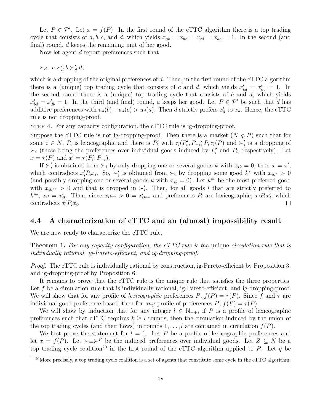Let  $P \in \mathcal{P}'$ . Let  $x = f(P)$ . In the first round of the cTTC algorithm there is a top trading cycle that consists of a, b, c, and d, which yields  $x_{ab} = x_{bc} = x_{cd} = x_{da} = 1$ . In the second (and final) round, d keeps the remaining unit of her good.

Now let agent d report preferences such that

 $\succ_d$ :  $c \succ'_d b \succ'_d d$ ,

which is a dropping of the original preferences of d. Then, in the first round of the cTTC algorithm there is a (unique) top trading cycle that consists of c and d, which yields  $x'_{cd} = x'_{dc} = 1$ . In the second round there is a (unique) top trading cycle that consists of  $b$  and  $d$ , which yields  $x'_{bd} = x'_{db} = 1$ . In the third (and final) round, a keeps her good. Let  $P \in \mathcal{P}'$  be such that d has additive preferences with  $u_d(b) + u_d(c) > u_d(a)$ . Then d strictly prefers  $x'_d$  to  $x_d$ . Hence, the cTTC rule is not dropping-proof.

Step 4. For any capacity configuration, the cTTC rule is ig-dropping-proof.

Suppose the cTTC rule is not ig-dropping-proof. Then there is a market  $(N, q, P)$  such that for some  $i \in N$ ,  $P_i$  is lexicographic and there is  $P'_i$  with  $\tau_i(P'_i, P_{-i}) P_i \tau_i(P)$  and  $\succ'_i$  is a dropping of  $\succ_i$  (these being the preferences over individual goods induced by  $P'_i$  and  $P_i$ , respectively). Let  $x = \tau(P)$  and  $x' = \tau(P'_i, P_{-i}).$ 

If  $\succ_i'$  is obtained from  $\succ_i$  by only dropping one or several goods k with  $x_{ik} = 0$ , then  $x = x'$ , which contradicts  $x'_i P_i x_i$ . So,  $\succ_i'$  is obtained from  $\succ_i$  by dropping some good  $k^*$  with  $x_{ik^*} > 0$ (and possibly dropping one or several goods k with  $x_{ik} = 0$ ). Let  $k^{**}$  be the most preferred good with  $x_{ik^{**}} > 0$  and that is dropped in  $\succ'_i$ . Then, for all goods l that are strictly preferred to  $k^{**}$ ,  $x_{il} = x'_{il}$ . Then, since  $x_{ik^{**}} > 0 = x'_{ik^{**}}$  and preferences  $P_i$  are lexicographic,  $x_i P_i x'_i$ , which contradicts  $x_i' P_i x_i$ .  $\Box$ 

#### 4.4 A characterization of cTTC and an (almost) impossibility result

We are now ready to characterize the cTTC rule.

**Theorem 1.** For any capacity configuration, the cTTC rule is the unique circulation rule that is individually rational, ig-Pareto-efficient, and ig-dropping-proof.

Proof. The cTTC rule is individually rational by construction, ig-Pareto-efficient by Proposition 3, and ig-dropping-proof by Proposition 6.

It remains to prove that the cTTC rule is the unique rule that satisfies the three properties. Let f be a circulation rule that is individually rational, ig-Pareto-efficient, and ig-dropping-proof. We will show that for any profile of lexicographic preferences P,  $f(P) = \tau(P)$ . Since f and  $\tau$  are individual-good-preference based, then for any profile of preferences  $P, f(P) = \tau(P)$ .

We will show by induction that for any integer  $l \in \mathbb{N}_{++}$ , if P is a profile of lexicographic preferences such that cTTC requires  $k > l$  rounds, then the circulation induced by the union of the top trading cycles (and their flows) in rounds  $1, \ldots, l$  are contained in circulation  $f(P)$ .

We first prove the statement for  $l = 1$ . Let P be a profile of lexicographic preferences and let  $x = f(P)$ . Let  $\succ \equiv \succ^P$  be the induced preferences over individual goods. Let  $Z \subseteq N$  be a top trading cycle coalition<sup>20</sup> in the first round of the cTTC algorithm applied to P. Let q be

<sup>&</sup>lt;sup>20</sup>More precisely, a top trading cycle coalition is a set of agents that constitute some cycle in the cTTC algorithm.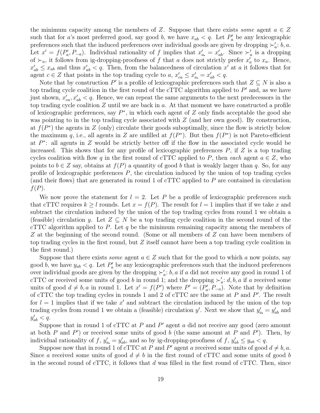the minimum capacity among the members of Z. Suppose that there exists some agent  $a \in Z$ such that for a's most preferred good, say good b, we have  $x_{ab} < q$ . Let  $P'_a$  be any lexicographic preferences such that the induced preferences over individual goods are given by dropping  $\succ_a$ : b, a. Let  $x' = f(P'_a, P_{-a})$ . Individual rationality of f implies that  $x'_a = x'_{ab}$ . Since  $\succ'_a$  is a dropping of  $\succ_a$ , it follows from ig-dropping-proofness of f that a does not strictly prefer  $x'_a$  to  $x_a$ . Hence,  $x'_{ab} \leq x_{ab}$  and thus  $x'_{ab} < q$ . Then, from the balancedness of circulation  $x'$  at a it follows that for agent  $c \in Z$  that points in the top trading cycle to a,  $x'_{ca} \leq x'_{a} = x'_{ab} < q$ .

Note that by construction P' is a profile of lexicographic preferences such that  $Z \subseteq N$  is also a top trading cycle coalition in the first round of the cTTC algorithm applied to  $P'$  and, as we have just shown,  $x'_{ca}$ ,  $x'_{ab}$  < q. Hence, we can repeat the same arguments to the next predecessors in the top trading cycle coalition  $Z$  until we are back in  $a$ . At that moment we have constructed a profile of lexicographic preferences, say  $P^*$ , in which each agent of Z only finds acceptable the good she was pointing to in the top trading cycle associated with  $Z$  (and her own good). By construction, at  $f(P^*)$  the agents in Z (only) circulate their goods suboptimally, since the flow is strictly below the maximum q, i.e., all agents in Z are unfilled at  $f(P^*)$ . But then  $f(P^*)$  is not Pareto-efficient at  $P^*$ : all agents in Z would be strictly better off if the flow in the associated cycle would be increased. This shows that for any profile of lexicographic preferences  $P$ , if  $Z$  is a top trading cycles coalition with flow q in the first round of cTTC applied to P, then each agent  $a \in Z$ , who points to  $b \in Z$  say, obtains at  $f(P)$  a quantity of good b that is weakly larger than q. So, for any profile of lexicographic preferences  $P$ , the circulation induced by the union of top trading cycles (and their flows) that are generated in round 1 of cTTC applied to P are contained in circulation  $f(P)$ .

We now prove the statement for  $l = 2$ . Let P be a profile of lexicographic preferences such that cTTC requires  $k > l$  rounds. Let  $x = f(P)$ . The result for  $l = 1$  implies that if we take x and subtract the circulation induced by the union of the top trading cycles from round 1 we obtain a (feasible) circulation y. Let  $Z \subseteq N$  be a top trading cycle coalition in the second round of the cTTC algorithm applied to P. Let q be the minimum remaining capacity among the members of Z at the beginning of the second round. (Some or all members of Z can have been members of top trading cycles in the first round, but Z itself cannot have been a top trading cycle coalition in the first round.)

Suppose that there exists *some* agent  $a \in \mathbb{Z}$  such that for the good to which a now points, say good b, we have  $y_{ab} < q$ . Let  $P'_a$  be any lexicographic preferences such that the induced preferences over individual goods are given by the dropping  $\succ'_a$ : b, a if a did not receive any good in round 1 of cTTC or received some units of good b in round 1; and the dropping  $\succ_a: d, b, a$  if a received some units of good  $d \neq b$ , a in round 1. Let  $x' = f(P')$  where  $P' = (P'_a, P_{-a})$ . Note that by definition of cTTC the top trading cycles in rounds 1 and 2 of cTTC are the same at  $P$  and  $P'$ . The result for  $l = 1$  implies that if we take  $x'$  and subtract the circulation induced by the union of the top trading cycles from round 1 we obtain a (feasible) circulation y'. Next we show that  $y'_a = y'_{ab}$  and  $y'_{ab} < q.$ 

Suppose that in round 1 of cTTC at  $P$  and  $P'$  agent  $a$  did not receive any good (zero amount at both P and P') or received some units of good b (the same amount at P and P'). Then, by individual rationality of f,  $y'_a = y'_{ab}$ , and so by ig-dropping-proofness of f,  $y'_{ab} \le y_{ab} < q$ .

Suppose now that in round 1 of cTTC at P and P' agent a received some units of good  $d \neq b, a$ . Since a received some units of good  $d \neq b$  in the first round of cTTC and some units of good b in the second round of cTTC, it follows that  $d$  was filled in the first round of cTTC. Then, since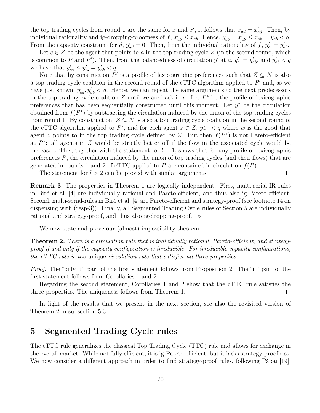the top trading cycles from round 1 are the same for x and x', it follows that  $x_{ad} = x'_{ad}$ . Then, by individual rationality and ig-dropping-proofness of f,  $x'_{ab} \le x_{ab}$ . Hence,  $y'_{ab} = x'_{ab} \le x_{ab} = y_{ab} < q$ . From the capacity constraint for d,  $y'_{ad} = 0$ . Then, from the individual rationality of f,  $y'_{a} = y'_{ab}$ .

Let  $c \in Z$  be the agent that points to a in the top trading cycle Z (in the second round, which is common to P and P'). Then, from the balancedness of circulation y' at a,  $y'_a = y'_{ab}$ , and  $y'_{ab} < q$ we have that  $y'_{ca} \le y'_{a} = y'_{ab} < q$ .

Note that by construction P' is a profile of lexicographic preferences such that  $Z \subseteq N$  is also a top trading cycle coalition in the second round of the cTTC algorithm applied to  $P'$  and, as we have just shown,  $y'_{ca}, y'_{ab} < q$ . Hence, we can repeat the same arguments to the next predecessors in the top trading cycle coalition  $Z$  until we are back in  $a$ . Let  $P^*$  be the profile of lexicographic preferences that has been sequentially constructed until this moment. Let  $y^*$  be the circulation obtained from  $f(P^*)$  by subtracting the circulation induced by the union of the top trading cycles from round 1. By construction,  $Z \subseteq N$  is also a top trading cycle coalition in the second round of the cTTC algorithm applied to  $P^*$ , and for each agent  $z \in Z$ ,  $y_{zw}^* < q$  where w is the good that agent z points to in the top trading cycle defined by Z. But then  $f(P^*)$  is not Pareto-efficient at  $P^*$ : all agents in Z would be strictly better off if the flow in the associated cycle would be increased. This, together with the statement for  $l = 1$ , shows that for any profile of lexicographic preferences  $P$ , the circulation induced by the union of top trading cycles (and their flows) that are generated in rounds 1 and 2 of cTTC applied to P are contained in circulation  $f(P)$ .

The statement for  $l > 2$  can be proved with similar arguments.

Remark 3. The properties in Theorem 1 are logically independent. First, multi-serial-IR rules in Biró et al. [4] are individually rational and Pareto-efficient, and thus also ig-Pareto-efficient. Second, multi-serial-rules in Biró et al. [4] are Pareto-efficient and strategy-proof (see footnote 14 on dispensing with (resp-3)). Finally, all Segmented Trading Cycle rules of Section 5 are individually rational and strategy-proof, and thus also ig-dropping-proof.  $\diamond$ 

 $\Box$ 

We now state and prove our (almost) impossibility theorem.

**Theorem 2.** There is a circulation rule that is individually rational, Pareto-efficient, and strategyproof if and only if the capacity configuration is irreducible. For irreducible capacity configurations, the cTTC rule is the unique circulation rule that satisfies all three properties.

Proof. The "only if" part of the first statement follows from Proposition 2. The "if" part of the first statement follows from Corollaries 1 and 2.

Regarding the second statement, Corollaries 1 and 2 show that the cTTC rule satisfies the three properties. The uniqueness follows from Theorem 1.  $\Box$ 

In light of the results that we present in the next section, see also the revisited version of Theorem 2 in subsection 5.3.

## 5 Segmented Trading Cycle rules

The cTTC rule generalizes the classical Top Trading Cycle (TTC) rule and allows for exchange in the overall market. While not fully efficient, it is ig-Pareto-efficient, but it lacks strategy-proofness. We now consider a different approach in order to find strategy-proof rules, following Pápai [19]: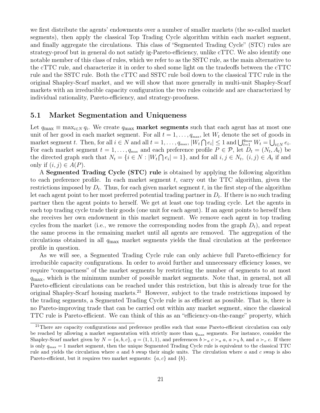we first distribute the agents' endowments over a number of smaller markets (the so-called market segments), then apply the classical Top Trading Cycle algorithm within each market segment, and finally aggregate the circulations. This class of "Segmented Trading Cycle" (STC) rules are strategy-proof but in general do not satisfy ig-Pareto-efficiency, unlike cTTC. We also identify one notable member of this class of rules, which we refer to as the SSTC rule, as the main alternative to the cTTC rule, and characterize it in order to shed some light on the tradeoffs between the cTTC rule and the SSTC rule. Both the cTTC and SSTC rule boil down to the classical TTC rule in the original Shapley-Scarf market, and we will show that more generally in multi-unit Shapley-Scarf markets with an irreducible capacity configuration the two rules coincide and are characterized by individual rationality, Pareto-efficiency, and strategy-proofness.

#### 5.1 Market Segmentation and Uniqueness

Let  $q_{\max} \equiv \max_{i \in \mathbb{N}} q_i$ . We create  $q_{\max}$  market segments such that each agent has at most one unit of her good in each market segment. For all  $t = 1, \ldots, q_{\text{max}}$ , let  $W_t$  denote the set of goods in market segment t. Then, for all  $i \in N$  and all  $t = 1, \ldots, q_{\text{max}}, |W_t \cap e_i| \leq 1$  and  $\bigcup_{t=1}^{q_{\text{max}}} W_t = \bigcup_{i \in N} e_i$ . For each market segment  $t = 1, \ldots, q_{\text{max}}$  and each preference profile  $P \in \mathcal{P}$ , let  $D_t = (N_t, A_t)$  be the directed graph such that  $N_t = \{i \in N : |W_t \cap e_i| = 1\}$ , and for all  $i, j \in N_t$ ,  $(i, j) \in A_t$  if and only if  $(i, j) \in A(P)$ .

A Segmented Trading Cycle (STC) rule is obtained by applying the following algorithm to each preference profile. In each market segment  $t$ , carry out the TTC algorithm, given the restrictions imposed by  $D_t$ . Thus, for each given market segment t, in the first step of the algorithm let each agent point to her most preferred potential trading partner in  $D_t$ . If there is no such trading partner then the agent points to herself. We get at least one top trading cycle. Let the agents in each top trading cycle trade their goods (one unit for each agent). If an agent points to herself then she receives her own endowment in this market segment. We remove each agent in top trading cycles from the market (i.e., we remove the corresponding nodes from the graph  $D_t$ ), and repeat the same process in the remaining market until all agents are removed. The aggregation of the circulations obtained in all  $q_{\text{max}}$  market segments yields the final circulation at the preference profile in question.

As we will see, a Segmented Trading Cycle rule can only achieve full Pareto-efficiency for irreducible capacity configurations. In order to avoid further and unnecessary efficiency losses, we require "compactness" of the market segments by restricting the number of segments to at most  $q_{\text{max}}$ , which is the minimum number of possible market segments. Note that, in general, not all Pareto-efficient circulations can be reached under this restriction, but this is already true for the original Shapley-Scarf housing markets.<sup>21</sup> However, subject to the trade restrictions imposed by the trading segments, a Segmented Trading Cycle rule is as efficient as possible. That is, there is no Pareto-improving trade that can be carried out within any market segment, since the classical TTC rule is Pareto-efficient. We can think of this as an "efficiency-on-the-range" property, which

<sup>&</sup>lt;sup>21</sup>There are capacity configurations and preference profiles such that some Pareto-efficient circulation can only be reached by allowing a market segmentation with strictly more than  $q_{\text{max}}$  segments. For instance, consider the Shapley-Scarf market given by  $N = \{a, b, c\}$ ,  $q = (1, 1, 1)$ , and preferences  $b \succ_a c \succ_a a$ ,  $a \succ_b b$ , and  $a \succ_c c$ . If there is only  $q_{\text{max}} = 1$  market segment, then the unique Segmented Trading Cycle rule is equivalent to the classical TTC rule and yields the circulation where a and b swap their single units. The circulation where a and c swap is also Pareto-efficient, but it requires two market segments:  $\{a, c\}$  and  $\{b\}$ .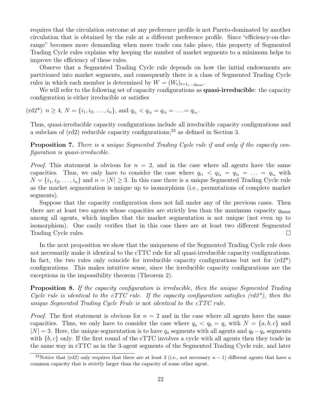requires that the circulation outcome at any preference profile is not Pareto-dominated by another circulation that is obtained by the rule at a different preference profile. Since "efficiency-on-therange" becomes more demanding when more trade can take place, this property of Segmented Trading Cycle rules explains why keeping the number of market segments to a minimum helps to improve the efficiency of these rules.

Observe that a Segmented Trading Cycle rule depends on how the initial endowments are partitioned into market segments, and consequently there is a class of Segmented Trading Cycle rules in which each member is determined by  $W = (W_t)_{t=1,\dots,q_{\text{max}}}$ .

We will refer to the following set of capacity configurations as **quasi-irreducible**: the capacity configuration is either irreducible or satisfies

 $(\text{rd2*})$   $n \geq 4$ ,  $N = \{i_1, i_2, \ldots, i_n\}$ , and  $q_{i_1} < q_{i_2} = q_{i_3} = \ldots = q_{i_n}$ .

Thus, quasi-irreducible capacity configurations include all irreducible capacity configurations and a subclass of  $\text{(rd2)}$  reducible capacity configurations,<sup>22</sup> as defined in Section 3.

**Proposition 7.** There is a unique Segmented Trading Cycle rule if and only if the capacity configuration is quasi-irreducible.

*Proof.* This statement is obvious for  $n = 2$ , and in the case where all agents have the same capacities. Thus, we only have to consider the case where  $q_{i_1} < q_{i_2} = q_{i_3} = \ldots = q_{i_n}$  with  $N = \{i_1, i_2, \ldots, i_n\}$  and  $n = |N| \geq 3$ . In this case there is a unique Segmented Trading Cycle rule as the market segmentation is unique up to isomorphism (i.e., permutations of complete market segments).

Suppose that the capacity configuration does not fall under any of the previous cases. Then there are at least two agents whose capacities are strictly less than the maximum capacity  $q_{\text{max}}$ among all agents, which implies that the market segmentation is not unique (not even up to isomorphism). One easily verifies that in this case there are at least two different Segmented Trading Cycle rules.  $\Box$ 

In the next proposition we show that the uniqueness of the Segmented Trading Cycle rule does not necessarily make it identical to the cTTC rule for all quasi-irreducible capacity configurations. In fact, the two rules only coincide for irreducible capacity configurations but not for  $\text{(rd2*)}$ configurations. This makes intuitive sense, since the irreducible capacity configurations are the exceptions in the impossibility theorem (Theorem 2).

**Proposition 8.** If the capacity configuration is irreducible, then the unique Segmented Trading Cycle rule is identical to the cTTC rule. If the capacity configuration satisfies  $(rd2^*)$ , then the unique Segmented Trading Cycle Frule is not identical to the cTTC rule.

*Proof.* The first statement is obvious for  $n = 2$  and in the case where all agents have the same capacities. Thus, we only have to consider the case where  $q_a < q_b = q_c$  with  $N = \{a, b, c\}$  and  $|N| = 3$ . Here, the unique segmentation is to have  $q_a$  segments with all agents and  $q_b - q_a$  segments with  $\{b, c\}$  only. If the first round of the cTTC involves a cycle with all agents then they trade in the same way in cTTC as in the 3-agent segments of the Segmented Trading Cycle rule, and later

<sup>&</sup>lt;sup>22</sup>Notice that (rd2) only requires that there are at least 3 (i.e., not necessary  $n-1$ ) different agents that have a common capacity that is strictly larger than the capacity of some other agent.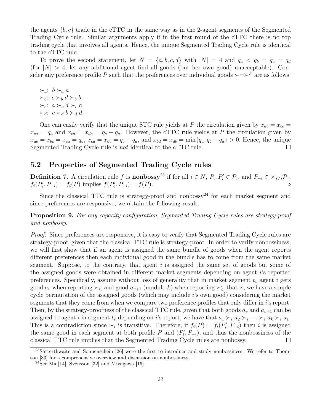the agents  $\{b, c\}$  trade in the cTTC in the same way as in the 2-agent segments of the Segmented Trading Cycle rule. Similar arguments apply if in the first round of the cTTC there is no top trading cycle that involves all agents. Hence, the unique Segmented Trading Cycle rule is identical to the cTTC rule.

To prove the second statement, let  $N = \{a, b, c, d\}$  with  $|N| = 4$  and  $q_a < q_b = q_c = q_d$ (for  $|N| > 4$ , let any additional agent find all goods (but her own good) unacceptable). Consider any preference profile P such that the preferences over individual goods  $\succ = \succ^P$  are as follows:

 $\succ_a$ :  $b\succ_a a$  $\succ_b$ : c  $\succ_b$  d  $\succ_b$  b  $\succ_c$ :  $a \succ_c d \succ_c c$  $\succ_d$ :  $c \succ_d b \succ_d d$ 

One can easily verify that the unique STC rule yields at P the circulation given by  $x_{ab} = x_{bc} =$  $x_{ca} = q_a$  and  $x_{cd} = x_{dc} = q_c - q_a$ . However, the cTTC rule yields at P the circulation given by  $x_{ab} = x_{bc} = x_{ca} = q_a$ ,  $x_{cd} = x_{dc} = q_c - q_a$ , and  $x_{bd} = x_{db} = \min\{q_a, q_b - q_a\} > 0$ . Hence, the unique Segmented Trading Cycle rule is not identical to the cTTC rule.  $\Box$ 

#### 5.2 Properties of Segmented Trading Cycle rules

**Definition 7.** A circulation rule f is **nonbossy**<sup>23</sup> if for all  $i \in N$ ,  $P_i$ ,  $P'_i \in \mathcal{P}_i$ , and  $P_{-i} \in \times_{j \neq i} \mathcal{P}_j$ ,  $f_i(P'_i, P_{-i}) = f_i(P)$  implies  $f(P'_i, P_{-i}) = f(P)$ .

Since the classical TTC rule is strategy-proof and nonbossy<sup>24</sup> for each market segment and since preferences are responsive, we obtain the following result.

Proposition 9. For any capacity configuration, Segmented Trading Cycle rules are strategy-proof and nonbossy.

Proof. Since preferences are responsive, it is easy to verify that Segmented Trading Cycle rules are strategy-proof, given that the classical TTC rule is strategy-proof. In order to verify nonbossiness, we will first show that if an agent is assigned the same bundle of goods when the agent reports different preferences then each individual good in the bundle has to come from the same market segment. Suppose, to the contrary, that agent  $i$  is assigned the same set of goods but some of the assigned goods were obtained in different market segments depending on agent i's reported preferences. Specifically, assume without loss of generality that in market segment  $t<sub>v</sub>$  agent i gets good  $a_v$  when reporting  $\succ_i$ , and good  $a_{v+1}$  (modulo k) when reporting  $\succ'_i$ , that is, we have a simple cycle permutation of the assigned goods (which may include i's own good) considering the market segments that they come from when we compare two preference profiles that only differ in i's report. Then, by the strategy-proofness of the classical TTC rule, given that both goods  $a_v$  and  $a_{v+1}$  can be assigned to agent i in segment  $t_v$  depending on i's report, we have that  $a_1 \succ_i a_2 \succ_i \ldots \succ_i a_k \succ_i a_1$ . This is a contradiction since  $\succ_i$  is transitive. Therefore, if  $f_i(P) = f_i(P'_i, P_{-i})$  then i is assigned the same good in each segment at both profile  $P$  and  $(P_i', P_{-i})$ , and thus the nonbossiness of the classical TTC rule implies that the Segmented Trading Cycle rules are nonbossy.  $\Box$ 

<sup>&</sup>lt;sup>23</sup>Satterthwaite and Sonnenschein [26] were the first to introduce and study nonbossiness. We refer to Thomson [33] for a comprehensive overview and discussion on nonbossiness.

 $24$ See Ma [14], Svensson [32] and Miyagawa [16].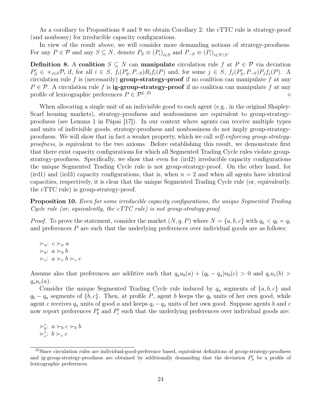As a corollary to Propositions 8 and 9 we obtain Corollary 2: the cTTC rule is strategy-proof (and nonbossy) for irreducible capacity configurations.

In view of the result above, we will consider more demanding notions of strategy-proofness. For any  $P \in \mathcal{P}$  and any  $S \subseteq N$ , denote  $P_S \equiv (P_i)_{i \in S}$  and  $P_{-S} \equiv (P_i)_{i \in N \setminus S}$ .

Definition 8. A coalition  $S \subseteq N$  can manipulate circulation rule f at  $P \in \mathcal{P}$  via deviation  $P'_S \in \times_{i \in S} \mathcal{P}_i$  if, for all  $i \in S$ ,  $f_i(P'_S, P_{-S})R_if_i(P)$  and, for some  $j \in S$ ,  $f_j(P'_S, P_{-S})P_jf_j(P)$ . A circulation rule f is (necessarily) group-strategy-proof if no coalition can manipulate f at any  $P \in \mathcal{P}$ . A circulation rule f is **ig-group-strategy-proof** if no coalition can manipulate f at any profile of lexicographic preferences  $P \in \mathcal{P}^L$ . <sup>25</sup> ⋄

When allocating a single unit of an indivisible good to each agent (e.g., in the original Shapley-Scarf housing markets), strategy-proofness and nonbossiness are equivalent to group-strategyproofness (see Lemma 1 in Pápai [17]). In our context where agents can receive multiple types and units of indivisible goods, strategy-proofness and nonbossiness do not imply group-strategyproofness. We will show that in fact a weaker property, which we call self-enforcing group-strategyproofness, is equivalent to the two axioms. Before establishing this result, we demonstrate first that there exist capacity configurations for which all Segmented Trading Cycle rules violate groupstrategy-proofness. Specifically, we show that even for (ird2) irreducible capacity configurations the unique Segmented Trading Cycle rule is not group-strategy-proof. On the other hand, for (ird1) and (ird3) capacity configurations, that is, when  $n = 2$  and when all agents have identical capacities, respectively, it is clear that the unique Segmented Trading Cycle rule (or, equivalently, the cTTC rule) is group-strategy-proof.

Proposition 10. Even for some irreducible capacity configurations, the unique Segmented Trading Cycle rule (or, equivalently, the cTTC rule) is not group-strategy-proof.

*Proof.* To prove the statement, consider the market  $(N, q, P)$  where  $N = \{a, b, c\}$  with  $q_a < q_b = q_c$ and preferences  $P$  are such that the underlying preferences over individual goods are as follows:

 $\succ_a$ :  $c \succ_a a$  $\succ_b$ :  $a \succ_b b$  $\succ_c$ :  $a \succ_c b \succ_c c$ 

Assume also that preferences are additive such that  $q_a u_b(a) + (q_b - q_a) u_b(c) > 0$  and  $q_c u_c(b) > 0$  $q_a u_c(a)$ .

Consider the unique Segmented Trading Cycle rule induced by  $q_a$  segments of  $\{a, b, c\}$  and  $q_b - q_a$  segments of  $\{b, c\}$ . Then, at profile P, agent b keeps the  $q_b$  units of her own good, while agent c receives  $q_a$  units of good a and keeps  $q_c - q_a$  units of her own good. Suppose agents b and c now report preferences  $P'_{b}$  and  $P'_{c}$  such that the underlying preferences over individual goods are:

 $\succ_b': a \succ_b c \succ_b b$  $\succ'_c: b\succ_c c$ 

<sup>&</sup>lt;sup>25</sup>Since circulation rules are individual-good-preference based, equivalent definitions of group-strategy-proofness and ig-group-strategy-proofness are obtained by additionally demanding that the deviation  $P'_{S}$  be a profile of lexicographic preferences.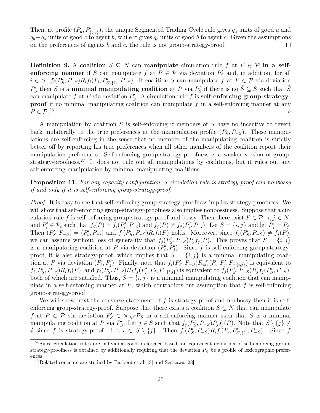Then, at profile  $(P_a, P'_{\{b,c\}})$ , the unique Segmented Trading Cycle rule gives  $q_a$  units of good a and  $q_b-q_a$  units of good c to agent b, while it gives  $q_c$  units of good b to agent c. Given the assumptions on the preferences of agents  $b$  and  $c$ , the rule is not group-strategy-proof.  $\Box$ 

Definition 9. A coalition  $S \subseteq N$  can manipulate circulation rule f at  $P \in \mathcal{P}$  in a selfenforcing manner if S can manipulate f at  $P \in \mathcal{P}$  via deviation  $P'_{S}$  and, in addition, for all  $i \in S$ ,  $f_i(P'_S, P_{-S})R_i f_i(P_i, P'_{S\setminus\{i\}}, P_{-S})$ . If coalition S can manipulate f at  $P \in \mathcal{P}$  via deviation  $P'_S$  then S is a **minimal manipulating coalition** at P via  $P'_S$  if there is no  $\bar{S} \subsetneq S$  such that  $\bar{S}$ can manipulate f at P via deviation  $P'_{\bar{S}}$ . A circulation rule f is **self-enforcing group-strategyproof** if no minimal manipulating coalition can manipulate  $f$  in a self-enforcing manner at any  $P \in \mathcal{P}^{26}$  $26 \leftrightarrow 26$ 

A manipulation by coalition S is self-enforcing if members of S have no incentive to revert back unilaterally to the true preferences at the manipulation profile  $(P'_{S}, P_{-S})$ . These manipulations are self-enforcing in the sense that no member of the manipulating coalition is strictly better off by reporting his true preferences when all other members of the coalition report their manipulation preferences. Self-enforcing group-strategy-proofness is a weaker version of groupstrategy-proofness.<sup>27</sup> It does not rule out all manipulations by coalitions, but it rules out any self-enforcing manipulation by minimal manipulating coalitions.

Proposition 11. For any capacity configuration, a circulation rule is strategy-proof and nonbossy if and only if it is self-enforcing group-strategy-proof.

Proof. It is easy to see that self-enforcing group-strategy-proofness implies strategy-proofness. We will show that self-enforcing group-strategy-proofness also implies nonbossiness. Suppose that a circulation rule f is self-enforcing group-strategy-proof and bossy. Then there exist  $P \in \mathcal{P}, i, j \in \mathbb{N},$ and  $P'_i \in \mathcal{P}_i$  such that  $f_i(P) = f_i(P'_i, P_{-i})$  and  $f_j(P) \neq f_j(P'_i, P_{-i})$ . Let  $S = \{i, j\}$  and let  $P'_j = P_j$ . Then  $(P'_S, P_{-S}) = (P'_i, P_{-i})$  and  $f_i(P'_S, P_{-S})R_if_i(P)$  holds. Moreover, since  $f_j(P'_S, P_{-S}) \neq f_j(P)$ , we can assume without loss of generality that  $f_j(P'_S, P_{-S})P_jf_j(P)$ . This proves that  $S = \{i, j\}$ is a manipulating coalition at P via deviation  $(P'_i, P'_j)$ . Since f is self-enforcing group-strategyproof, it is also strategy-proof, which implies that  $S = \{i, j\}$  is a minimal manipulating coalition at P via deviation  $(P'_i, P'_j)$ . Finally, note that  $f_i(P'_S, P_{-S})R_if_i(P_i, P'_j, P_{-\{i,j\}})$  is equivalent to  $f_i(P'_S, P_{-S})R_if_i(P)$ , and  $f_j(P'_S, P_{-S})R_jf_j(P'_i, P_j, P_{-\{i,j\}})$  is equivalent to  $\tilde{f}_j(P'_S, P_{-S})R_jf_j(P'_S, P_{-S})$ , both of which are satisfied. Thus,  $S = \{i, j\}$  is a minimal manipulating coalition that can manipulate in a self-enforcing manner at  $P$ , which contradicts our assumption that  $f$  is self-enforcing group-strategy-proof.

We will show next the converse statement: if  $f$  is strategy-proof and nonbossy then it is selfenforcing group-strategy-proof. Suppose that there exists a coalition  $S \subseteq N$  that can manipulate f at  $P \in \mathcal{P}$  via deviation  $P'_S \in \times_{i \in S} \mathcal{P}_S$  in a self-enforcing manner such that S is a minimal manipulating coalition at P via  $P'_S$ . Let  $j \in S$  such that  $f_j(P'_S, P_{-S})P_jf_j(P)$ . Note that  $S \setminus \{j\} \neq$  $\emptyset$  since f is strategy-proof. Let  $i \in S \setminus \{j\}$ . Then  $f_i(P_S, P_{-S}) R_i f_i(P_i, P'_{S \setminus \{i\}}, P_{-S})$ . Since f

 $^{26}$ Since circulation rules are individual-good-preference based, an equivalent definition of self-enforcing groupstrategy-proofness is obtained by additionally requiring that the deviation  $P'_{S}$  be a profile of lexicographic preferences.

 $^{27}$ Related concepts are studied by Barberà et al. [3] and Serizawa [28].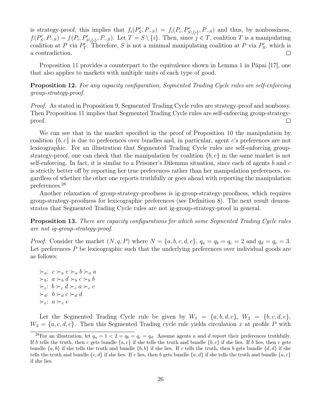is strategy-proof, this implies that  $f_i(P'_S, P_{-S}) = f_i(P_i, P'_{S\setminus\{i\}}, P_{-S})$  and thus, by nonbossiness,  $f(P'_S, P_{-S}) = f(P_i, P'_{S \setminus \{i\}}, P_{-S})$ . Let  $T = S \setminus \{i\}$ . Then, since  $j \in T$ , coalition T is a manipulating coalition at P via  $P'_T$ . Therefore, S is not a minimal manipulating coalition at P via  $P'_S$ , which is  $\Box$ a contradiction.

Proposition 11 provides a counterpart to the equivalence shown in Lemma 1 in Pápai [17], one that also applies to markets with multiple units of each type of good.

Proposition 12. For any capacity configuration, Segmented Trading Cycle rules are self-enforcing group-strategy-proof.

Proof. As stated in Proposition 9, Segmented Trading Cycle rules are strategy-proof and nonbossy. Then Proposition 11 implies that Segmented Trading Cycle rules are self-enforcing group-strategy- $\Box$ proof.

We can see that in the market specified in the proof of Proposition 10 the manipulation by coalition  $\{b, c\}$  is due to preferences over bundles and, in particular, agent c's preferences are not lexicographic. For an illustration that Segmented Trading Cycle rules are self-enforcing groupstrategy-proof, one can check that the manipulation by coalition  $\{b, c\}$  in the same market is not self-enforcing. In fact, it is similar to a Prisoner's Dilemma situation, since each of agents  $b$  and  $c$ is strictly better off by reporting her true preferences rather than her manipulation preferences, regardless of whether the other one reports truthfully or goes ahead with reporting the manipulation preferences.<sup>28</sup>

Another relaxation of group-strategy-proofness is ig-group-strategy-proofness, which requires group-strategy-proofness for lexicographic preferences (see Definition 8). The next result demonstrates that Segmented Trading Cycle rules are not ig-group-strategy-proof in general.

Proposition 13. There are capacity configurations for which some Segmented Trading Cycle rules are not ig-group-strategy-proof.

*Proof.* Consider the market  $(N, q, P)$  where  $N = \{a, b, c, d, e\}$ ,  $q_a = q_b = q_c = 2$  and  $q_d = q_e = 3$ . Let preferences  $P$  be lexicographic such that the underlying preferences over individual goods are as follows:

 $\succ_a$ :  $c \succ_a e \succ_a b \succ_a a$  $\succ_b$ :  $a \succ_b d \succ_b c \succ_b b$  $\succ_c$ :  $b\succ_c d\succ_c a\succ_c c$  $\succ_d$ :  $b\succ_d c\succ_d d$ ≻e: a ≻<sup>e</sup> e

Let the Segmented Trading Cycle rule be given by  $W_1 = \{a, b, d, e\}, W_2 = \{b, c, d, e\},$  $W_3 = \{a, c, d, e\}$ . Then this Segmented Trading cycle rule yields circulation x at profile P with

<sup>&</sup>lt;sup>28</sup>For an illustration, let  $q_a = 1 < 2 = q_b = q_c = q_d$ . Assume agents a and d report their preferences truthfully. If b tells the truth, then c gets bundle  $\{a, c\}$  if she tells the truth and bundle  $\{b, c\}$  if she lies. If b lies, then c gets bundle  $\{a, b\}$  if she tells the truth and bundle  $\{b, b\}$  if she lies. If c tells the truth, then b gets bundle  $\{d, d\}$  if she tells the truth and bundle  $\{c, d\}$  if she lies. If c lies, then b gets bundle  $\{a, d\}$  if she tells the truth and bundle  $\{a, c\}$ if she lies.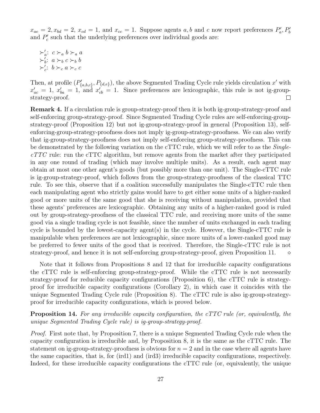$x_{ae} = 2, x_{bd} = 2, x_{cd} = 1,$  and  $x_{cc} = 1$ . Suppose agents a, b and c now report preferences  $P'_a, P'_b$ and  $P'_c$  such that the underlying preferences over individual goods are:

 $\succ'_a$ :  $c \succ_a b \succ_a a$  $\succ_b': a \succ_b c \succ_b b$  $\succ'_c: b\succ_c a\succ_c c$ 

Then, at profile  $(P'_{\{a,b,c\}}, P_{\{d,e\}})$ , the above Segmented Trading Cycle rule yields circulation x' with  $x'_{ac} = 1$ ,  $x'_{ba} = 1$ , and  $x'_{cb} = 1$ . Since preferences are lexicographic, this rule is not ig-groupstrategy-proof.  $\Box$ 

Remark 4. If a circulation rule is group-strategy-proof then it is both ig-group-strategy-proof and self-enforcing group-strategy-proof. Since Segmented Trading Cycle rules are self-enforcing-groupstrategy-proof (Proposition 12) but not ig-group-strategy-proof in general (Proposition 13), selfenforcing-group-strategy-proofness does not imply ig-group-strategy-proofness. We can also verify that ig-group-strategy-proofness does not imply self-enforcing group-strategy-proofness. This can be demonstrated by the following variation on the cTTC rule, which we will refer to as the  $Single$  $cTTC$  rule: run the  $cTTC$  algorithm, but remove agents from the market after they participated in any one round of trading (which may involve multiple units). As a result, each agent may obtain at most one other agent's goods (but possibly more than one unit). The Single-cTTC rule is ig-group-strategy-proof, which follows from the group-strategy-proofness of the classical TTC rule. To see this, observe that if a coalition successfully manipulates the Single-cTTC rule then each manipulating agent who strictly gains would have to get either some units of a higher-ranked good or more units of the same good that she is receiving without manipulation, provided that these agents' preferences are lexicographic. Obtaining any units of a higher-ranked good is ruled out by group-strategy-proofness of the classical TTC rule, and receiving more units of the same good via a single trading cycle is not feasible, since the number of units exchanged in each trading cycle is bounded by the lowest-capacity agent(s) in the cycle. However, the Single-cTTC rule is manipulable when preferences are not lexicographic, since more units of a lower-ranked good may be preferred to fewer units of the good that is received. Therefore, the Single-cTTC rule is not strategy-proof, and hence it is not self-enforcing group-strategy-proof, given Proposition 11.  $\Diamond$ 

Note that it follows from Propositions 8 and 12 that for irreducible capacity configurations the cTTC rule is self-enforcing group-strategy-proof. While the cTTC rule is not necessarily strategy-proof for reducible capacity configurations (Proposition 6), the cTTC rule is strategyproof for irreducible capacity configurations (Corollary 2), in which case it coincides with the unique Segmented Trading Cycle rule (Proposition 8). The cTTC rule is also ig-group-strategyproof for irreducible capacity configurations, which is proved below.

Proposition 14. For any irreducible capacity configuration, the cTTC rule (or, equivalently, the unique Segmented Trading Cycle rule) is ig-group-strategy-proof.

Proof. First note that, by Proposition 7, there is a unique Segmented Trading Cycle rule when the capacity configuration is irreducible and, by Proposition 8, it is the same as the cTTC rule. The statement on ig-group-strategy-proofness is obvious for  $n = 2$  and in the case where all agents have the same capacities, that is, for (ird1) and (ird3) irreducible capacity configurations, respectively. Indeed, for these irreducible capacity configurations the cTTC rule (or, equivalently, the unique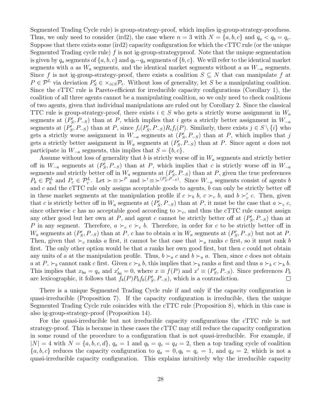Segmented Trading Cycle rule) is group-strategy-proof, which implies ig-group-strategy-proofness. Thus, we only need to consider (ird2), the case where  $n = 3$  with  $N = \{a, b, c\}$  and  $q_a < q_b = q_c$ . Suppose that there exists some (ird2) capacity configuration for which the cTTC rule (or the unique Segmented Trading cycle rule) f is not ig-group-strategyproof. Note that the unique segmentation is given by  $q_a$  segments of  $\{a, b, c\}$  and  $q_b - q_a$  segments of  $\{b, c\}$ . We will refer to the identical market segments with a as  $W_a$  segments, and the identical market segments without a as  $W_{-a}$  segments. Since f is not ig-group-strategy-proof, there exists a coalition  $S \subseteq N$  that can manipulate f at  $P \in \mathcal{P}^L$  via deviation  $P'_S \in \times_{i \in S} \mathcal{P}_i$ . Without loss of generality, let S be a manipulating coalition. Since the cTTC rule is Pareto-efficient for irreducible capacity configurations (Corollary 1), the coalition of all three agents cannot be a manipulating coalition, so we only need to check coalitions of two agents, given that individual manipulations are ruled out by Corollary 2. Since the classical TTC rule is group-strategy-proof, there exists  $i \in S$  who gets a strictly worse assignment in  $W_a$ segments at  $(P'_{S}, P_{-S})$  than at P, which implies that i gets a strictly better assignment in  $W_{-a}$ segments at  $(P'_S, P_{-S})$  than at P, since  $f_i(P'_S, P_{-S})R_if_i(P)$ . Similarly, there exists  $j \in S \setminus \{i\}$  who gets a strictly worse assignment in  $W_{-a}$  segments at  $(P'_{S}, P_{-S})$  than at P, which implies that j gets a strictly better assignment in  $W_a$  segments at  $(P'_S, P_{-S})$  than at P. Since agent a does not participate in  $W_{-a}$  segments, this implies that  $S = \{b, c\}.$ 

Assume without loss of generality that b is strictly worse off in  $W_a$  segments and strictly better off in  $W_{-a}$  segments at  $(P'_{S}, P_{-S})$  than at P, which implies that c is strictly worse off in  $W_{-a}$ segments and strictly better off in  $W_a$  segments at  $(P'_S, P_{-S})$  than at P, given the true preferences  $P_b \in \mathcal{P}_b^L$  and  $P_c \in \mathcal{P}_c^L$ . Let  $\succ \equiv \succ^P$  and  $\succ' \equiv \succ^{(P'_S, P'_{-S})}$ . Since  $W_{-a}$  segments consist of agents b and  $c$  and the cTTC rule only assigns acceptable goods to agents,  $b$  can only be strictly better off in these market segments at the manipulation profile if  $c \succ_b b$ ,  $c \succ_c b$ , and  $b \succ_c' c$ . Then, given that c is strictly better off in  $W_a$  segments at  $(P'_S, P_{-S})$  than at P, it must be the case that  $a \succ_c c$ , since otherwise c has no acceptable good according to  $\succ_{c}$ , and thus the cTTC rule cannot assign any other good but her own at P, and agent c cannot be strictly better off at  $(P'_S, P_{-S})$  than at P in any segment. Therefore,  $a \succ_c c \succ_c b$ . Therefore, in order for c to be strictly better off in  $W_a$  segments at  $(P'_S, P_{-S})$  than at P, c has to obtain a in  $W_a$  segments at  $(P'_S, P_{-S})$  but not at P. Then, given that  $\succ_c$  ranks a first, it cannot be that case that  $\succ_a$  ranks c first, so it must rank b first. The only other option would be that  $a$  ranks her own good first, but then  $c$  could not obtain any units of a at the manipulation profile. Thus,  $b \succ_a c$  and  $b \succ_a a$ . Then, since c does not obtain a at P,  $\succ_b$  cannot rank c first. Given  $c \succ_b b$ , this implies that  $\succ_b$  ranks a first and thus  $a \succ_b c \succ_b b$ . This implies that  $x_{ba} = q_a$  and  $x'_{ba} = 0$ , where  $x \equiv f(P)$  and  $x' \equiv (P'_s, P_{-s})$ . Since preferences  $P_b$ are lexicographic, it follows that  $f_b(P)P_bf_b(P'_S, P_{-S})$ , which is a contradiction.  $\Box$ 

There is a unique Segmented Trading Cycle rule if and only if the capacity configuration is quasi-irreducible (Proposition 7). If the capacity configuration is irreducible, then the unique Segmented Trading Cycle rule coincides with the cTTC rule (Proposition 8), which in this case is also ig-group-strategy-proof (Proposition 14).

For the quasi-irreducible but not irreducible capacity configurations the cTTC rule is not strategy-proof. This is because in these cases the cTTC may still reduce the capacity configuration in some round of the procedure to a configuration that is not quasi-irreducible. For example, if  $|N| = 4$  with  $N = \{a, b, c, d\}, q_a = 1$  and  $q_b = q_c = q_d = 2$ , then a top trading cycle of coalition  ${a, b, c}$  reduces the capacity configuration to  $q_a = 0, q_b = q_c = 1$ , and  $q_d = 2$ , which is not a quasi-irreducible capacity configuration. This explains intuitively why the irreducible capacity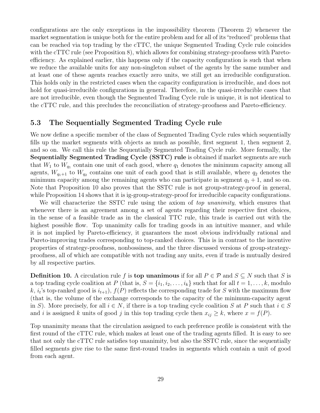configurations are the only exceptions in the impossibility theorem (Theorem 2) whenever the market segmentation is unique both for the entire problem and for all of its "reduced" problems that can be reached via top trading by the cTTC, the unique Segmented Trading Cycle rule coincides with the cTTC rule (see Proposition 8), which allows for combining strategy-proofness with Paretoefficiency. As explained earlier, this happens only if the capacity configuration is such that when we reduce the available units for any non-singleton subset of the agents by the same number and at least one of these agents reaches exactly zero units, we still get an irreducible configuration. This holds only in the restricted cases when the capacity configuration is irreducible, and does not hold for quasi-irreducible configurations in general. Therefore, in the quasi-irreducible cases that are not irreducible, even though the Segmented Trading Cycle rule is unique, it is not identical to the cTTC rule, and this precludes the reconciliation of strategy-proofness and Pareto-efficiency.

#### 5.3 The Sequentially Segmented Trading Cycle rule

We now define a specific member of the class of Segmented Trading Cycle rules which sequentially fills up the market segments with objects as much as possible, first segment 1, then segment 2, and so on. We call this rule the Sequentially Segmented Trading Cycle rule. More formally, the Sequentially Segmented Trading Cycle (SSTC) rule is obtained if market segments are such that  $W_1$  to  $W_{q_1}$  contain one unit of each good, where  $q_1$  denotes the minimum capacity among all agents,  $W_{q_1+1}$  to  $W_{q_2}$  contains one unit of each good that is still available, where  $q_2$  denotes the minimum capacity among the remaining agents who can participate in segment  $q_1 + 1$ , and so on. Note that Proposition 10 also proves that the SSTC rule is not group-strategy-proof in general, while Proposition 14 shows that it is ig-group-strategy-proof for irreducible capacity configurations.

We will characterize the SSTC rule using the axiom of top unanimity, which ensures that whenever there is an agreement among a set of agents regarding their respective first choices, in the sense of a feasible trade as in the classical TTC rule, this trade is carried out with the highest possible flow. Top unanimity calls for trading goods in an intuitive manner, and while it is not implied by Pareto-efficiency, it guarantees the most obvious individually rational and Pareto-improving trades corresponding to top-ranked choices. This is in contrast to the incentive properties of strategy-proofness, nonbossiness, and the three discussed versions of group-strategyproofness, all of which are compatible with not trading any units, even if trade is mutually desired by all respective parties.

**Definition 10.** A circulation rule f is **top unanimous** if for all  $P \in \mathcal{P}$  and  $S \subseteq N$  such that S is a top trading cycle coalition at P (that is,  $S = \{i_1, i_2, \ldots, i_k\}$  such that for all  $t = 1, \ldots, k$ , modulo k,  $i_t$ 's top-ranked good is  $i_{t+1}$ ,  $f(P)$  reflects the corresponding trade for S with the maximum flow (that is, the volume of the exchange corresponds to the capacity of the minimum-capacity agent in S). More precisely, for all  $i \in N$ , if there is a top trading cycle coalition S at P such that  $i \in S$ and i is assigned k units of good j in this top trading cycle then  $x_{ij} \geq k$ , where  $x = f(P)$ .

Top unanimity means that the circulation assigned to each preference profile is consistent with the first round of the cTTC rule, which makes at least one of the trading agents filled. It is easy to see that not only the cTTC rule satisfies top unanimity, but also the SSTC rule, since the sequentially filled segments give rise to the same first-round trades in segments which contain a unit of good from each agent.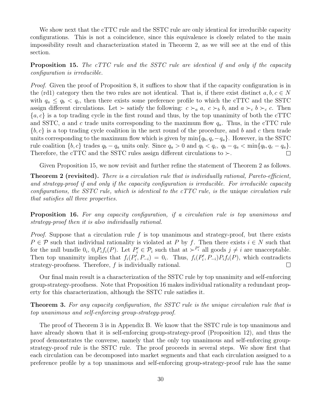We show next that the cTTC rule and the SSTC rule are only identical for irreducible capacity configurations. This is not a coincidence, since this equivalence is closely related to the main impossibility result and characterization stated in Theorem 2, as we will see at the end of this section.

**Proposition 15.** The cTTC rule and the SSTC rule are identical if and only if the capacity configuration is irreducible.

Proof. Given the proof of Proposition 8, it suffices to show that if the capacity configuration is in the (rd1) category then the two rules are not identical. That is, if there exist distinct  $a, b, c \in N$ with  $q_a \leq q_b < q_c$ , then there exists some preference profile to which the cTTC and the SSTC assign different circulations. Let  $\succ$  satisfy the following:  $c \succ_a a$ ,  $c \succ_b b$ , and  $a \succ_c b \succ_c c$ . Then  ${a, c}$  is a top trading cycle in the first round and thus, by the top unanimity of both the cTTC and SSTC, a and c trade units corresponding to the maximum flow  $q_a$ . Thus, in the cTTC rule  ${b, c}$  is a top trading cycle coalition in the next round of the procedure, and b and c then trade units corresponding to the maximum flow which is given by  $\min\{q_b, q_c-q_a\}$ . However, in the SSTC rule coalition  $\{b, c\}$  trades  $q_b - q_a$  units only. Since  $q_a > 0$  and  $q_b < q_c$ ,  $q_b - q_a < \min\{q_b, q_c - q_a\}$ . Therefore, the cTTC and the SSTC rules assign different circulations to  $\succ$ .  $\Box$ 

Given Proposition 15, we now revisit and further refine the statement of Theorem 2 as follows.

**Theorem 2 (revisited).** There is a circulation rule that is individually rational, Pareto-efficient, and strategy-proof if and only if the capacity configuration is irreducible. For irreducible capacity configurations, the SSTC rule, which is identical to the  $cTTC$  rule, is the unique circulation rule that satisfies all three properties.

Proposition 16. For any capacity configuration, if a circulation rule is top unanimous and strategy-proof then it is also individually rational.

*Proof.* Suppose that a circulation rule f is top unanimous and strategy-proof, but there exists  $P \in \mathcal{P}$  such that individual rationality is violated at P by f. Then there exists  $i \in N$  such that for the null bundle  $0_i$ ,  $0_i P_i f_i(P)$ . Let  $P'_i \in \mathcal{P}_i$  such that at  $\succ^{P'_i}$  all goods  $j \neq i$  are unacceptable. Then top unanimity implies that  $f_i(P'_i, P_{-i}) = 0_i$ . Thus,  $f_i(P'_i, P_{-i}) P_i f_i(P)$ , which contradicts strategy-proofness. Therefore, f is individually rational.  $\Box$ 

Our final main result is a characterization of the SSTC rule by top unanimity and self-enforcing group-strategy-proofness. Note that Proposition 16 makes individual rationality a redundant property for this characterization, although the SSTC rule satisfies it.

**Theorem 3.** For any capacity configuration, the SSTC rule is the unique circulation rule that is top unanimous and self-enforcing group-strategy-proof.

The proof of Theorem 3 is in Appendix B. We know that the SSTC rule is top unanimous and have already shown that it is self-enforcing group-strategy-proof (Proposition 12), and thus the proof demonstrates the converse, namely that the only top unanimous and self-enforcing groupstrategy-proof rule is the SSTC rule. The proof proceeds in several steps. We show first that each circulation can be decomposed into market segments and that each circulation assigned to a preference profile by a top unanimous and self-enforcing group-strategy-proof rule has the same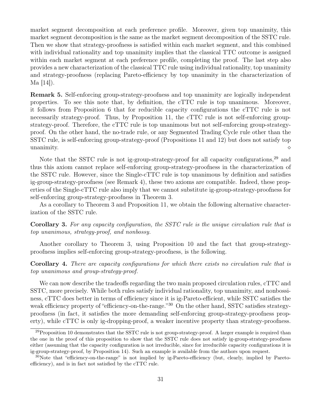market segment decomposition at each preference profile. Moreover, given top unanimity, this market segment decomposition is the same as the market segment decomposition of the SSTC rule. Then we show that strategy-proofness is satisfied within each market segment, and this combined with individual rationality and top unanimity implies that the classical TTC outcome is assigned within each market segment at each preference profile, completing the proof. The last step also provides a new characterization of the classical TTC rule using individual rationality, top unanimity and strategy-proofness (replacing Pareto-efficiency by top unanimity in the characterization of Ma [14]).

Remark 5. Self-enforcing group-strategy-proofness and top unanimity are logically independent properties. To see this note that, by definition, the cTTC rule is top unanimous. Moreover, it follows from Proposition 6 that for reducible capacity configurations the cTTC rule is not necessarily strategy-proof. Thus, by Proposition 11, the cTTC rule is not self-enforcing groupstrategy-proof. Therefore, the cTTC rule is top unanimous but not self-enforcing group-strategyproof. On the other hand, the no-trade rule, or any Segmented Trading Cycle rule other than the SSTC rule, is self-enforcing group-strategy-proof (Propositions 11 and 12) but does not satisfy top unanimity.  $\Diamond$ 

Note that the SSTC rule is not ig-group-strategy-proof for all capacity configurations,<sup>29</sup> and thus this axiom cannot replace self-enforcing group-strategy-proofness in the characterization of the SSTC rule. However, since the Single-cTTC rule is top unanimous by definition and satisfies ig-group-strategy-proofness (see Remark 4), these two axioms are compatible. Indeed, these properties of the Single-cTTC rule also imply that we cannot substitute ig-group-strategy-proofness for self-enforcing group-strategy-proofness in Theorem 3.

As a corollary to Theorem 3 and Proposition 11, we obtain the following alternative characterization of the SSTC rule.

Corollary 3. For any capacity configuration, the SSTC rule is the unique circulation rule that is top unanimous, strategy-proof, and nonbossy.

Another corollary to Theorem 3, using Proposition 10 and the fact that group-strategyproofness implies self-enforcing group-strategy-proofness, is the following.

Corollary 4. There are capacity configurations for which there exists no circulation rule that is top unanimous and group-strategy-proof.

We can now describe the tradeoffs regarding the two main proposed circulation rules, cTTC and SSTC, more precisely. While both rules satisfy individual rationality, top unanimity, and nonbossiness, cTTC does better in terms of efficiency since it is ig-Pareto-efficient, while SSTC satisfies the weak efficiency property of "efficiency-on-the-range." 30 On the other hand, SSTC satisfies strategyproofness (in fact, it satisfies the more demanding self-enforcing group-strategy-proofness property), while cTTC is only ig-dropping-proof, a weaker incentive property than strategy-proofness.

<sup>&</sup>lt;sup>29</sup>Proposition 10 demonstrates that the SSTC rule is not group-strategy-proof. A larger example is required than the one in the proof of this proposition to show that the SSTC rule does not satisfy ig-group-strategy-proofness either (assuming that the capacity configuration is not irreducible, since for irreducible capacity configurations it is ig-group-strategy-proof, by Proposition 14). Such an example is available from the authors upon request.

 $30$ Note that "efficiency-on-the-range" is not implied by ig-Pareto-efficiency (but, clearly, implied by Paretoefficiency), and is in fact not satisfied by the cTTC rule.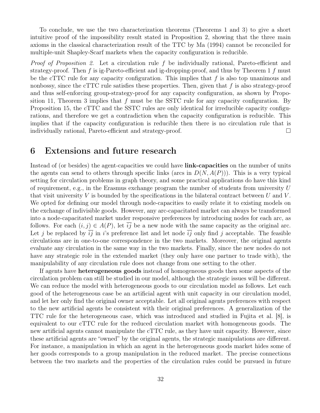To conclude, we use the two characterization theorems (Theorems 1 and 3) to give a short intuitive proof of the impossibility result stated in Proposition 2, showing that the three main axioms in the classical characterization result of the TTC by Ma (1994) cannot be reconciled for multiple-unit Shapley-Scarf markets when the capacity configuration is reducible.

Proof of Proposition 2. Let a circulation rule f be individually rational, Pareto-efficient and strategy-proof. Then f is ig-Pareto-efficient and ig-dropping-proof, and thus by Theorem 1 f must be the cTTC rule for any capacity configuration. This implies that  $f$  is also top unanimous and nonbossy, since the cTTC rule satisfies these properties. Then, given that  $f$  is also strategy-proof and thus self-enforcing group-strategy-proof for any capacity configuration, as shown by Proposition 11, Theorem 3 implies that  $f$  must be the SSTC rule for any capacity configuration. By Proposition 15, the cTTC and the SSTC rules are only identical for irreducible capacity configurations, and therefore we get a contradiction when the capacity configuration is reducible. This implies that if the capacity configuration is reducible then there is no circulation rule that is individually rational, Pareto-efficient and strategy-proof. □

### 6 Extensions and future research

Instead of (or besides) the agent-capacities we could have **link-capacities** on the number of units the agents can send to others through specific links (arcs in  $D(N, A(P))$ ). This is a very typical setting for circulation problems in graph theory, and some practical applications do have this kind of requirement, e.g., in the Erasmus exchange program the number of students from university  $U$ that visit university V is bounded by the specifications in the bilateral contract between U and V. We opted for defining our model through node-capacities to easily relate it to existing models on the exchange of indivisible goods. However, any arc-capacitated market can always be transformed into a node-capacitated market under responsive preferences by introducing nodes for each arc, as follows. For each  $(i, j) \in A(P)$ , let  $\overline{ij}$  be a new node with the same capacity as the original arc. Let j be replaced by  $\overline{ij}$  in i's preference list and let node  $\overline{ij}$  only find j acceptable. The feasible circulations are in one-to-one correspondence in the two markets. Moreover, the original agents evaluate any circulation in the same way in the two markets. Finally, since the new nodes do not have any strategic role in the extended market (they only have one partner to trade with), the manipulability of any circulation rule does not change from one setting to the other.

If agents have heterogeneous goods instead of homogeneous goods then some aspects of the circulation problem can still be studied in our model, although the strategic issues will be different. We can reduce the model with heterogeneous goods to our circulation model as follows. Let each good of the heterogeneous case be an artificial agent with unit capacity in our circulation model, and let her only find the original owner acceptable. Let all original agents preferences with respect to the new artificial agents be consistent with their original preferences. A generalization of the TTC rule for the heterogeneous case, which was introduced and studied in Fujita et al. [8], is equivalent to our cTTC rule for the reduced circulation market with homogeneous goods. The new artificial agents cannot manipulate the cTTC rule, as they have unit capacity. However, since these artificial agents are "owned" by the original agents, the strategic manipulations are different. For instance, a manipulation in which an agent in the heterogeneous goods market hides some of her goods corresponds to a group manipulation in the reduced market. The precise connections between the two markets and the properties of the circulation rules could be pursued in future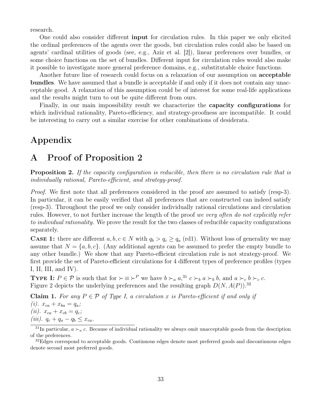research.

One could also consider different input for circulation rules. In this paper we only elicited the ordinal preferences of the agents over the goods, but circulation rules could also be based on agents' cardinal utilities of goods (see, e.g., Aziz et al. [2]), linear preferences over bundles, or some choice functions on the set of bundles. Different input for circulation rules would also make it possible to investigate more general preference domains, e.g., substitutable choice functions.

Another future line of research could focus on a relaxation of our assumption on acceptable bundles. We have assumed that a bundle is acceptable if and only if it does not contain any unacceptable good. A relaxation of this assumption could be of interest for some real-life applications and the results might turn to out be quite different from ours.

Finally, in our main impossibility result we characterize the capacity configurations for which individual rationality, Pareto-efficiency, and strategy-proofness are incompatible. It could be interesting to carry out a similar exercise for other combinations of desiderata.

## Appendix

## A Proof of Proposition 2

**Proposition 2.** If the capacity configuration is reducible, then there is no circulation rule that is individually rational, Pareto-efficient, and strategy-proof.

Proof. We first note that all preferences considered in the proof are assumed to satisfy (resp-3). In particular, it can be easily verified that all preferences that are constructed can indeed satisfy (resp-3). Throughout the proof we only consider individually rational circulations and circulation rules. However, to not further increase the length of the proof we very often do not explicitly refer to individual rationality. We prove the result for the two classes of reducible capacity configurations separately.

**CASE 1:** there are different  $a, b, c \in N$  with  $q_b > q_c \geq q_a$  (rd1). Without loss of generality we may assume that  $N = \{a, b, c\}$ . (Any additional agents can be assumed to prefer the empty bundle to any other bundle.) We show that any Pareto-efficient circulation rule is not strategy-proof. We first provide the set of Pareto-efficient circulations for 4 different types of preference profiles (types I, II, III, and IV).

**TYPE I:**  $P \in \mathcal{P}$  is such that for  $\succ \equiv \succ^P$  we have  $b \succ_a a$ ,<sup>31</sup>  $c \succ_b a \succ_b b$ , and  $a \succ_c b \succ_c c$ . Figure 2 depicts the underlying preferences and the resulting graph  $D(N, A(P))$ .<sup>32</sup>

Claim 1. For any  $P \in \mathcal{P}$  of Type I, a circulation x is Pareto-efficient if and only if (*i*).  $x_{ca} + x_{ba} = q_a$ ; (*ii*).  $x_{ca} + x_{cb} = q_c$ ; (*iii*).  $q_c + q_a - q_b \leq x_{ca}$ .

<sup>&</sup>lt;sup>31</sup>In particular,  $a \succ_a c$ . Because of individual rationality we always omit unacceptable goods from the description of the preferences.

<sup>&</sup>lt;sup>32</sup>Edges correspond to acceptable goods. Continuous edges denote most preferred goods and discontinuous edges denote second most preferred goods.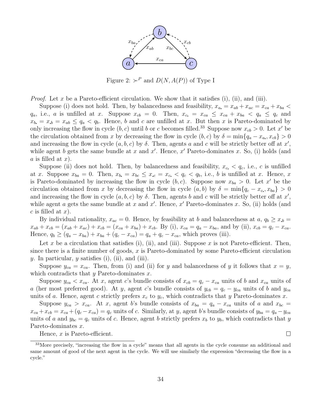

Figure 2:  $\succ^P$  and  $D(N, A(P))$  of Type I

*Proof.* Let x be a Pareto-efficient circulation. We show that it satisfies (i), (ii), and (iii).

Suppose (i) does not hold. Then, by balancedness and feasibility,  $x_a = x_{ab} + x_{ac} = x_{ca} + x_{ba}$  $q_a$ , i.e., a is unfilled at x. Suppose  $x_{cb} = 0$ . Then,  $x_{c} = x_{ca} \le x_{ca} + x_{ba} < q_a \le q_c$  and  $x_b = x_b = x_{ab} \le q_a < q_b$ . Hence, b and c are unfilled at x. But then x is Pareto-dominated by only increasing the flow in cycle  $(b, c)$  until b or c becomes filled.<sup>33</sup> Suppose now  $x_{cb} > 0$ . Let x' be the circulation obtained from x by decreasing the flow in cycle  $(b, c)$  by  $\delta = \min\{q_a - x_a, x_{cb}\} > 0$ and increasing the flow in cycle  $(a, b, c)$  by  $\delta$ . Then, agents a and c will be strictly better off at x', while agent b gets the same bundle at x and  $x'$ . Hence,  $x'$  Pareto-dominates x. So, (i) holds (and a is filled at  $x$ ).

Suppose (ii) does not hold. Then, by balancedness and feasibility,  $x_c < q_c$ , i.e., c is unfilled at x. Suppose  $x_{ba} = 0$ . Then,  $x_{b} = x_{bc} \le x_{c} = x_{c} < q_{c} < q_{b}$ , i.e., b is unfilled at x. Hence, x is Pareto-dominated by increasing the flow in cycle  $(b, c)$ . Suppose now  $x_{ba} > 0$ . Let x' be the circulation obtained from x by decreasing the flow in cycle  $(a, b)$  by  $\delta = \min\{q_c - x_c, x_{ba}\} > 0$ and increasing the flow in cycle  $(a, b, c)$  by  $\delta$ . Then, agents b and c will be strictly better off at x', while agent a gets the same bundle at x and  $x'$ . Hence,  $x'$  Pareto-dominates x. So, (ii) holds (and  $c$  is filled at  $x$ ).

By individual rationality,  $x_{ac} = 0$ . Hence, by feasibility at b and balancedness at  $a, q_b \ge x_b =$  $x_{ab} + x_{cb} = (x_{ab} + x_{ac}) + x_{cb} = (x_{ca} + x_{ba}) + x_{cb}$ . By (i),  $x_{ca} = q_a - x_{ba}$ , and by (ii),  $x_{cb} = q_c - x_{ca}$ . Hence,  $q_b \ge (q_a - x_{ba}) + x_{ba} + (q_c - x_{ca}) = q_a + q_c - x_{ca}$ , which proves (iii).

Let x be a circulation that satisfies (i), (ii), and (iii). Suppose x is not Pareto-efficient. Then, since there is a finite number of goods,  $x$  is Pareto-dominated by some Pareto-efficient circulation y. In particular, y satisfies (i), (ii), and (iii).

Suppose  $y_{ca} = x_{ca}$ . Then, from (i) and (ii) for y and balancedness of y it follows that  $x = y$ , which contradicts that y Pareto-dominates  $x$ .

Suppose  $y_{ca} < x_{ca}$ . At x, agent c's bundle consists of  $x_{cb} = q_c - x_{ca}$  units of b and  $x_{ca}$  units of a (her most preferred good). At y, agent c's bundle consists of  $y_{cb} = q_c - y_{ca}$  units of b and  $y_{ca}$ units of a. Hence, agent c strictly prefers  $x_c$  to  $y_c$ , which contradicts that y Pareto-dominates x.

Suppose  $y_{ca} > x_{ca}$ . At x, agent b's bundle consists of  $x_{ba} = q_a - x_{ca}$  units of a and  $x_{bc} =$  $x_{ca} + x_{cb} = x_{ca} + (q_c - x_{ca}) = q_c$  units of c. Similarly, at y, agent b's bundle consists of  $y_{ba} = q_a - y_{ca}$ units of a and  $y_{bc} = q_c$  units of c. Hence, agent b strictly prefers  $x_b$  to  $y_b$ , which contradicts that y Pareto-dominates x.

Hence,  $x$  is Pareto-efficient.

 $\Box$ 

<sup>&</sup>lt;sup>33</sup>More precisely, "increasing the flow in a cycle" means that all agents in the cycle consume an additional and same amount of good of the next agent in the cycle. We will use similarly the expression "decreasing the flow in a cycle."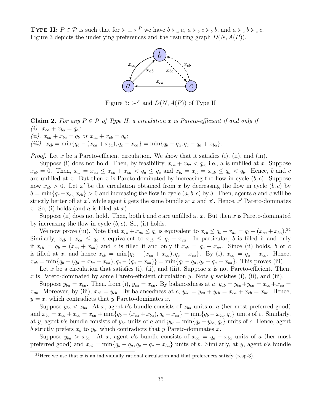**TYPE II:**  $P \in \mathcal{P}$  is such that for  $\succ \equiv \succ^P$  we have  $b \succ_a a$ ,  $a \succ_b c \succ_b b$ , and  $a \succ_c b \succ_c c$ . Figure 3 depicts the underlying preferences and the resulting graph  $D(N, A(P))$ .



Figure 3:  $\succ^P$  and  $D(N, A(P))$  of Type II

**Claim 2.** For any  $P \in \mathcal{P}$  of Type II, a circulation x is Pareto-efficient if and only if (*i*).  $x_{ca} + x_{ba} = q_a$ ; (*ii*).  $x_{ba} + x_{bc} = q_b$  or  $x_{ca} + x_{cb} = q_c$ ; (iii).  $x_{cb} = \min\{\overline{q_b} - (x_{ca} + x_{ba}), \overline{q_c - x_{ca}}\} = \min\{q_b - q_a, q_c - q_a + x_{ba}\}.$ 

*Proof.* Let x be a Pareto-efficient circulation. We show that it satisfies (i), (ii), and (iii).

Suppose (i) does not hold. Then, by feasibility,  $x_{ca} + x_{ba} < q_a$ , i.e., a is unfilled at x. Suppose  $x_{cb} = 0$ . Then,  $x_{c} = x_{ca} \leq x_{ca} + x_{ba} < q_a \leq q_c$  and  $x_{b} = x_{cb} \leq x_{ab} \leq q_a < q_b$ . Hence, b and c are unfilled at x. But then x is Pareto-dominated by increasing the flow in cycle  $(b, c)$ . Suppose now  $x_{cb} > 0$ . Let x' be the circulation obtained from x by decreasing the flow in cycle  $(b, c)$  by  $\delta = \min\{q_a - x_a, x_{cb}\} > 0$  and increasing the flow in cycle  $(a, b, c)$  by  $\delta$ . Then, agents a and c will be strictly better off at  $x'$ , while agent b gets the same bundle at x and  $x'$ . Hence,  $x'$  Pareto-dominates x. So, (i) holds (and  $a$  is filled at  $x$ ).

Suppose (ii) does not hold. Then, both b and c are unfilled at x. But then x is Pareto-dominated by increasing the flow in cycle  $(b, c)$ . So, (ii) holds.

We now prove (iii). Note that  $x_{cb} + x_{ab} \le q_b$  is equivalent to  $x_{cb} \le q_b - x_{ab} = q_b - (x_{ca} + x_{ba})^{34}$ Similarly,  $x_{cb} + x_{ca} \leq q_c$  is equivalent to  $x_{cb} \leq q_c - x_{ca}$ . In particular, b is filled if and only if  $x_{cb} = q_b - (x_{ca} + x_{ba})$  and c is filled if and only if  $x_{cb} = q_c - x_{ca}$ . Since (ii) holds, b or c is filled at x, and hence  $x_{cb} = \min\{q_b - (x_{ca} + x_{ba}), q_c - x_{ca}\}\$ . By (i),  $x_{ca} = q_a - x_{ba}$ . Hence,  $x_{cb} = \min\{q_b - (q_a - x_{ba} + x_{ba}), q_c - (q_a - x_{ba})\} = \min\{q_b - q_a, q_c - q_a + x_{ba}\}.$  This proves (iii).

Let x be a circulation that satisfies (i), (ii), and (iii). Suppose x is not Pareto-efficient. Then, x is Pareto-dominated by some Pareto-efficient circulation y. Note y satisfies (i), (ii), and (iii).

Suppose  $y_{ba} = x_{ba}$ . Then, from (i),  $y_{ca} = x_{ca}$ . By balancedness at  $a, y_{ab} = y_{ba} + y_{ca} = x_{ba} + x_{ca}$  $x_{ab}$ . Moreover, by (iii),  $x_{cb} = y_{cb}$ . By balancedness at c,  $y_{bc} = y_{ca} + y_{cb} = x_{ca} + x_{cb} = x_{bc}$ . Hence,  $y = x$ , which contradicts that y Pareto-dominates x.

Suppose  $y_{ba} < x_{ba}$ . At x, agent b's bundle consists of  $x_{ba}$  units of a (her most preferred good) and  $x_{bc} = x_{ca} + x_{cb} = x_{ca} + \min\{q_b - (x_{ca} + x_{ba}), q_c - x_{ca}\} = \min\{q_b - x_{ba}, q_c\}$  units of c. Similarly, at y, agent b's bundle consists of  $y_{ba}$  units of a and  $y_{bc} = \min\{q_b - y_{ba}, q_c\}$  units of c. Hence, agent b strictly prefers  $x_b$  to  $y_b$ , which contradicts that y Pareto-dominates x.

Suppose  $y_{ba} > x_{ba}$ . At x, agent c's bundle consists of  $x_{ca} = q_a - x_{ba}$  units of a (her most preferred good) and  $x_{cb} = \min\{q_b - q_a, q_c - q_a + x_{ba}\}\$  units of b. Similarly, at y, agent b's bundle

<sup>&</sup>lt;sup>34</sup>Here we use that x is an individually rational circulation and that preferences satisfy (resp-3).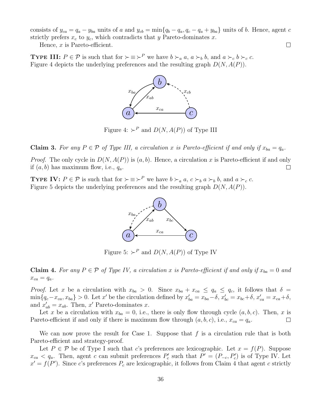consists of  $y_{ca} = q_a - y_{ba}$  units of a and  $y_{cb} = \min\{q_b - q_a, q_c - q_a + y_{ba}\}\$  units of b. Hence, agent c strictly prefers  $x_c$  to  $y_c$ , which contradicts that y Pareto-dominates x.

Hence,  $x$  is Pareto-efficient.

**TYPE III:**  $P \in \mathcal{P}$  is such that for  $\succ \equiv \succ^P$  we have  $b \succ_a a, a \succ_b b$ , and  $a \succ_c b \succ_c c$ . Figure 4 depicts the underlying preferences and the resulting graph  $D(N, A(P))$ .



Figure 4:  $\succ^P$  and  $D(N, A(P))$  of Type III

Claim 3. For any  $P \in \mathcal{P}$  of Type III, a circulation x is Pareto-efficient if and only if  $x_{ba} = q_a$ .

*Proof.* The only cycle in  $D(N, A(P))$  is  $(a, b)$ . Hence, a circulation x is Pareto-efficient if and only if  $(a, b)$  has maximum flow, i.e.,  $q_a$ .  $\Box$ 

**TYPE IV:**  $P \in \mathcal{P}$  is such that for  $\succ \equiv \succ^P$  we have  $b \succ_a a, c \succ_b a \succ_b b$ , and  $a \succ_c c$ . Figure 5 depicts the underlying preferences and the resulting graph  $D(N, A(P))$ .



Figure 5:  $\succ^P$  and  $D(N, A(P))$  of Type IV

**Claim 4.** For any  $P \in \mathcal{P}$  of Type IV, a circulation x is Pareto-efficient if and only if  $x_{ba} = 0$  and  $x_{ca} = q_a.$ 

*Proof.* Let x be a circulation with  $x_{ba} > 0$ . Since  $x_{ba} + x_{ca} \le q_a \le q_c$ , it follows that  $\delta =$  $\min\{q_c-x_{ca},x_{ba}\}>0.$  Let x' be the circulation defined by  $x'_{ba}=x_{ba}-\delta$ ,  $x'_{bc}=x_{bc}+\delta$ ,  $x'_{ca}=x_{ca}+\delta$ , and  $x'_{ab} = x_{ab}$ . Then, x' Pareto-dominates x.

Let x be a circulation with  $x_{ba} = 0$ , i.e., there is only flow through cycle  $(a, b, c)$ . Then, x is Pareto-efficient if and only if there is maximum flow through  $(a, b, c)$ , i.e.,  $x_{ca} = q_a$ .  $\Box$ 

We can now prove the result for Case 1. Suppose that  $f$  is a circulation rule that is both Pareto-efficient and strategy-proof.

Let  $P \in \mathcal{P}$  be of Type I such that c's preferences are lexicographic. Let  $x = f(P)$ . Suppose  $x_{ca} < q_a$ . Then, agent c can submit preferences  $P'_c$  such that  $P' = (P_{-c}, P'_c)$  is of Type IV. Let  $x' = f(P')$ . Since c's preferences  $P_c$  are lexicographic, it follows from Claim 4 that agent c strictly

 $\Box$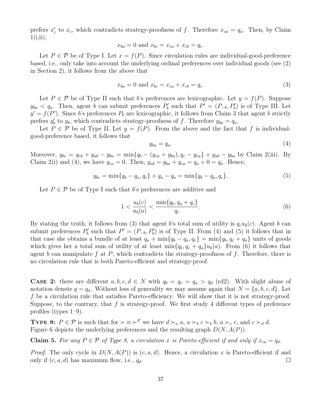prefers  $x'_c$  to  $x_c$ , which contradicts strategy-proofness of f. Therefore  $x_{ca} = q_a$ . Then, by Claim  $1(i,ii),$ 

$$
x_{ba} = 0
$$
 and  $x_{bc} = x_{ca} + x_{cb} = q_c$ .

Let  $P \in \mathcal{P}$  be of Type I. Let  $x = f(P)$ . Since circulation rules are individual-good-preference based, i.e., only take into account the underlying ordinal preferences over individual goods (see (2) in Section 2), it follows from the above that

$$
x_{ba} = 0 \text{ and } x_{bc} = x_{ca} + x_{cb} = q_c. \tag{3}
$$

Let  $P \in \mathcal{P}$  be of Type II such that b's preferences are lexicographic. Let  $y = f(P)$ . Suppose  $y_{ba} < q_a$ . Then, agent b can submit preferences  $P'_b$  such that  $P' = (P_{-b}, P'_b)$  is of Type III. Let  $y' = f(P')$ . Since b's preferences  $P_b$  are lexicographic, it follows from Claim 3 that agent b strictly prefers  $y'_b$  to  $y_b$ , which contradicts strategy-proofness of f. Therefore  $y_{ba} = q_a$ .

Let  $P \in \mathcal{P}$  be of Type II. Let  $y = f(P)$ . From the above and the fact that f is individualgood-preference based, it follows that

$$
y_{ba} = q_a. \tag{4}
$$

Moreover,  $y_{bc} = y_{cb} + y_{ab} - y_{ba} = \min\{q_b - (y_{ca} + y_{ba}), q_c - y_{ca}\} + y_{ab} - y_{ba}$  by Claim 2(iii). By Claim 2(i) and (4), we have  $y_{ca} = 0$ . Then,  $y_{ab} = y_{ba} + y_{ca} = q_a + 0 = q_a$ . Hence,

$$
y_{bc} = \min\{q_b - q_a, q_c\} + q_a - q_a = \min\{q_b - q_a, q_c\}.
$$
 (5)

Let  $P \in \mathcal{P}$  be of Type I such that b's preferences are additive and

$$
1 < \frac{u_b(c)}{u_b(a)} < \frac{\min\{q_b, q_a + q_c\}}{q_c}.\tag{6}
$$

By stating the truth, it follows from (3) that agent b's total sum of utility is  $q_c u_b(c)$ . Agent b can submit preferences  $P'_b$  such that  $P' = (P_{-b}, P'_b)$  is of Type II. From (4) and (5) it follows that in that case she obtains a bundle of at least  $q_a + \min\{q_b - q_a, q_c\} = \min\{q_b, q_c + q_a\}$  units of goods which gives her a total sum of utility of at least  $\min\{q_b, q_c + q_a\}u_b(a)$ . From (6) it follows that agent b can manipulate f at P, which contradicts the strategy-proofness of f. Therefore, there is no circulation rule that is both Pareto-efficient and strategy-proof.

**CASE 2:** there are different  $a, b, c, d \in N$  with  $q_b = q_c = q_a > q_d$  (rd2). With slight abuse of notation denote  $q = q_a$ . Without loss of generality we may assume again that  $N = \{a, b, c, d\}$ . Let f be a circulation rule that satisfies Pareto-efficiency. We will show that it is not strategy-proof. Suppose, to the contrary, that  $f$  is strategy-proof. We first study 4 different types of preference profiles (types 1–9).

**TYPE 8:**  $P \in \mathcal{P}$  is such that for  $\succ \equiv \succ^P$  we have  $d \succ_a a$ ,  $a \succ_b c \succ_b b$ ,  $a \succ_c c$ , and  $c \succ_d d$ . Figure 6 depicts the underlying preferences and the resulting graph  $D(N, A(P))$ .

**Claim 5.** For any  $P \in \mathcal{P}$  of Type 8, a circulation x is Pareto-efficient if and only if  $x_{ca} = q_d$ .

*Proof.* The only cycle in  $D(N, A(P))$  is  $(c, a, d)$ . Hence, a circulation x is Pareto-efficient if and only if  $(c, a, d)$  has maximum flow, i.e.,  $q_d$ .  $\Box$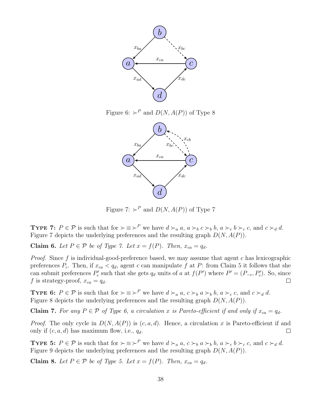

Figure 6:  $\succ^P$  and  $D(N, A(P))$  of Type 8



Figure 7:  $\succ^P$  and  $D(N, A(P))$  of Type 7

**TYPE 7:**  $P \in \mathcal{P}$  is such that for  $\succ \equiv \succ^P$  we have  $d \succ_a a$ ,  $a \succ_b c \succ_b b$ ,  $a \succ_c b \succ_c c$ , and  $c \succ_d d$ . Figure 7 depicts the underlying preferences and the resulting graph  $D(N, A(P))$ .

Claim 6. Let  $P \in \mathcal{P}$  be of Type 7. Let  $x = f(P)$ . Then,  $x_{ca} = q_d$ .

*Proof.* Since f is individual-good-preference based, we may assume that agent c has lexicographic preferences  $P_c$ . Then, if  $x_{ca} < q_d$ , agent c can manipulate f at P: from Claim 5 it follows that she can submit preferences  $P'_c$  such that she gets  $q_d$  units of a at  $f(P')$  where  $P' = (P_{-c}, P'_c)$ . So, since f is strategy-proof,  $x_{ca} = q_d$ .  $\Box$ 

**TYPE 6:**  $P \in \mathcal{P}$  is such that for  $\succ \equiv \succ^P$  we have  $d \succ_a a, c \succ_b a \succ_b b, a \succ_c c$ , and  $c \succ_d d$ . Figure 8 depicts the underlying preferences and the resulting graph  $D(N, A(P))$ .

Claim 7. For any  $P \in \mathcal{P}$  of Type 6, a circulation x is Pareto-efficient if and only if  $x_{ca} = q_d$ .

*Proof.* The only cycle in  $D(N, A(P))$  is  $(c, a, d)$ . Hence, a circulation x is Pareto-efficient if and only if  $(c, a, d)$  has maximum flow, i.e.,  $q_d$ .  $\Box$ 

**TYPE 5:**  $P \in \mathcal{P}$  is such that for  $\succ \equiv \succ^P$  we have  $d \succ_a a, c \succ_b a \succ_b b, a \succ_c b \succ_c c$ , and  $c \succ_d d$ . Figure 9 depicts the underlying preferences and the resulting graph  $D(N, A(P))$ .

Claim 8. Let  $P \in \mathcal{P}$  be of Type 5. Let  $x = f(P)$ . Then,  $x_{ca} = q_d$ .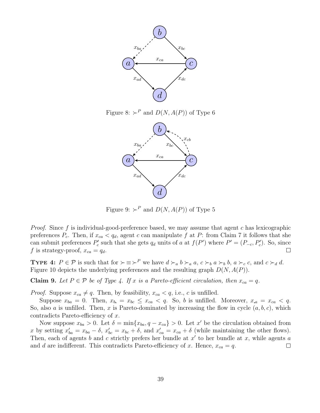

Figure 8:  $\succ^P$  and  $D(N, A(P))$  of Type 6



Figure 9:  $\succ^P$  and  $D(N, A(P))$  of Type 5

*Proof.* Since f is individual-good-preference based, we may assume that agent c has lexicographic preferences  $P_c$ . Then, if  $x_{ca} < q_d$ , agent c can manipulate f at P: from Claim 7 it follows that she can submit preferences  $P'_c$  such that she gets  $q_d$  units of a at  $f(P')$  where  $P' = (P_{-c}, P'_c)$ . So, since f is strategy-proof,  $x_{ca} = q_d$ .  $\Box$ 

**TYPE 4:**  $P \in \mathcal{P}$  is such that for  $\succ \equiv \succ^P$  we have  $d \succ_a b \succ_a a$ ,  $c \succ_b a \succ_b b$ ,  $a \succ_c c$ , and  $c \succ_d d$ . Figure 10 depicts the underlying preferences and the resulting graph  $D(N, A(P))$ .

**Claim 9.** Let  $P \in \mathcal{P}$  be of Type 4. If x is a Pareto-efficient circulation, then  $x_{ca} = q$ .

*Proof.* Suppose  $x_{ca} \neq q$ . Then, by feasibility,  $x_{ca} < q$ , i.e., c is unfilled.

Suppose  $x_{ba} = 0$ . Then,  $x_{b} = x_{bc} \leq x_{ca} < q$ . So, b is unfilled. Moreover,  $x_{ab} = x_{ca} < q$ . So, also a is unfilled. Then, x is Pareto-dominated by increasing the flow in cycle  $(a, b, c)$ , which contradicts Pareto-efficiency of x.

Now suppose  $x_{ba} > 0$ . Let  $\delta = \min\{x_{ba}, q - x_{ca}\} > 0$ . Let x' be the circulation obtained from x by setting  $x'_{ba} = x_{ba} - \delta$ ,  $x'_{bc} = x_{bc} + \delta$ , and  $x'_{ca} = x_{ca} + \delta$  (while maintaining the other flows). Then, each of agents  $b$  and  $c$  strictly prefers her bundle at  $x'$  to her bundle at  $x$ , while agents  $a$ and d are indifferent. This contradicts Pareto-efficiency of x. Hence,  $x_{ca} = q$ .  $\Box$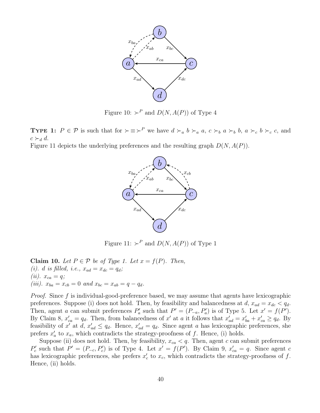

Figure 10:  $\succ^P$  and  $D(N, A(P))$  of Type 4

**TYPE 1:**  $P \in \mathcal{P}$  is such that for  $\succ \equiv \succ^P$  we have  $d \succ_a b \succ_a a$ ,  $c \succ_b a \succ_b b$ ,  $a \succ_c b \succ_c c$ , and  $c \succ_d d$ .

Figure 11 depicts the underlying preferences and the resulting graph  $D(N, A(P))$ .



Figure 11:  $\succ^P$  and  $D(N, A(P))$  of Type 1

Claim 10. Let  $P \in \mathcal{P}$  be of Type 1. Let  $x = f(P)$ . Then, (i). d is filled, i.e.,  $x_{ad} = x_{dc} = q_d$ ; (*ii*).  $x_{ca} = q$ ; (iii).  $x_{ba} = x_{cb} = 0$  and  $x_{bc} = x_{ab} = q - q_d$ .

Proof. Since f is individual-good-preference based, we may assume that agents have lexicographic preferences. Suppose (i) does not hold. Then, by feasibility and balancedness at  $d, x_{ad} = x_{dc} < q_d$ . Then, agent a can submit preferences  $P'_a$  such that  $P' = (P_{-a}, P'_a)$  is of Type 5. Let  $x' = f(P')$ . By Claim 8,  $x'_{ca} = q_d$ . Then, from balancedness of x' at a it follows that  $x'_{ad} = x'_{ba} + x'_{ca} \ge q_d$ . By feasibility of x' at  $d, x'_{ad} \leq q_d$ . Hence,  $x'_{ad} = q_d$ . Since agent a has lexicographic preferences, she prefers  $x'_a$  to  $x_a$ , which contradicts the strategy-proofness of f. Hence, (i) holds.

Suppose (ii) does not hold. Then, by feasibility,  $x_{ca} < q$ . Then, agent c can submit preferences  $P'_c$  such that  $P' = (P_{-c}, P'_c)$  is of Type 4. Let  $x' = f(P')$ . By Claim 9,  $x'_{ca} = q$ . Since agent c has lexicographic preferences, she prefers  $x_c'$  to  $x_c$ , which contradicts the strategy-proofness of f. Hence, (ii) holds.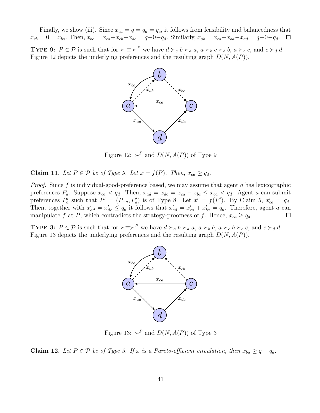Finally, we show (iii). Since  $x_{ca} = q = q_a = q_c$ , it follows from feasibility and balancedness that  $x_{cb} = 0 = x_{ba}$ . Then,  $x_{bc} = x_{ca} + x_{cb} - x_{dc} = q + 0 - q_d$ . Similarly,  $x_{ab} = x_{ca} + x_{ba} - x_{ad} = q + 0 - q_d$ .  $\Box$ 

**TYPE 9:**  $P \in \mathcal{P}$  is such that for  $\succ \equiv \succ^P$  we have  $d \succ_a b \succ_a a$ ,  $a \succ_b c \succ_b b$ ,  $a \succ_c c$ , and  $c \succ_d d$ . Figure 12 depicts the underlying preferences and the resulting graph  $D(N, A(P))$ .



Figure 12:  $\succ^P$  and  $D(N, A(P))$  of Type 9

Claim 11. Let  $P \in \mathcal{P}$  be of Type 9. Let  $x = f(P)$ . Then,  $x_{ca} \geq q_d$ .

*Proof.* Since f is individual-good-preference based, we may assume that agent a has lexicographic preferences  $P_a$ . Suppose  $x_{ca} < q_d$ . Then,  $x_{ad} = x_{dc} = x_{ca} - x_{bc} \le x_{ca} < q_d$ . Agent a can submit preferences  $P'_a$  such that  $P' = (P_{-a}, P'_a)$  is of Type 8. Let  $x' = f(P')$ . By Claim 5,  $x'_{ca} = q_d$ . Then, together with  $x'_{ad} = x'_{dc} \le q_d$  it follows that  $x'_{ad} = x'_{ca} + x'_{ba} = q_d$ . Therefore, agent a can manipulate f at P, which contradicts the strategy-proofness of f. Hence,  $x_{ca} \geq q_d$ .  $\Box$ 

**TYPE 3:**  $P \in \mathcal{P}$  is such that for  $\succ \equiv \succ^P$  we have  $d \succ_a b \succ_a a$ ,  $a \succ_b b$ ,  $a \succ_c b \succ_c c$ , and  $c \succ_d d$ . Figure 13 depicts the underlying preferences and the resulting graph  $D(N, A(P))$ .



Figure 13:  $\succ^P$  and  $D(N, A(P))$  of Type 3

Claim 12. Let  $P \in \mathcal{P}$  be of Type 3. If x is a Pareto-efficient circulation, then  $x_{ba} \geq q - q_d$ .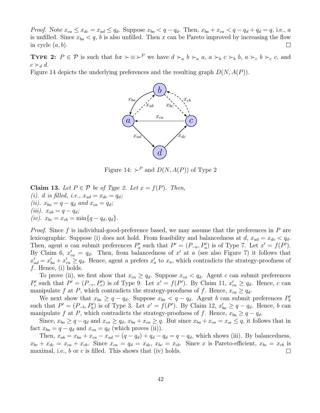*Proof.* Note  $x_{ca} \leq x_{dc} = x_{ad} \leq q_d$ . Suppose  $x_{ba} < q - q_d$ . Then,  $x_{ba} + x_{ca} < q - q_d + q_d = q$ , i.e., a is unfilled. Since  $x_{ba} < q$ , b is also unfilled. Then x can be Pareto improved by increasing the flow in cycle  $(a, b)$ .  $\Box$ 

**TYPE 2:**  $P \in \mathcal{P}$  is such that for  $\succ \equiv \succ^P$  we have  $d \succ_a b \succ_a a$ ,  $a \succ_b c \succ_b b$ ,  $a \succ_c b \succ_c c$ , and  $c \succ_d d$ .

Figure 14 depicts the underlying preferences and the resulting graph  $D(N, A(P))$ .



Figure 14:  $\succ^P$  and  $D(N, A(P))$  of Type 2

**Claim 13.** Let  $P \in \mathcal{P}$  be of Type 2. Let  $x = f(P)$ . Then, (i). d is filled, i.e.,  $x_{ad} = x_{dc} = q_d$ ; (ii).  $x_{ba} = q - q_d$  and  $x_{ca} = q_d$ ; (*iii*).  $x_{ab} = q - q_d$ ; (iv).  $x_{bc} = x_{cb} = \min\{q - q_d, q_d\}.$ 

*Proof.* Since f is individual-good-preference based, we may assume that the preferences in P are lexicographic. Suppose (i) does not hold. From feasibility and balancedness at d,  $x_{ad} = x_{dc} < q_d$ . Then, agent a can submit preferences  $P'_a$  such that  $P' = (P_{-a}, P'_a)$  is of Type 7. Let  $x' = f(P')$ . By Claim 6,  $x'_{ca} = q_d$ . Then, from balancedness of x' at a (see also Figure 7) it follows that  $x'_{ad} = x'_{ba} + x'_{ca} \ge q_d$ . Hence, agent a prefers  $x'_a$  to  $x_a$ , which contradicts the strategy-proofness of f. Hence, (i) holds.

To prove (ii), we first show that  $x_{ca} \ge q_d$ . Suppose  $x_{ca} < q_d$ . Agent c can submit preferences  $P'_c$  such that  $P' = (P_{-c}, P'_c)$  is of Type 9. Let  $x' = f(P')$ . By Claim 11,  $x'_{ca} \ge q_d$ . Hence, c can manipulate f at P, which contradicts the strategy-proofness of f. Hence,  $x_{ca} \geq q_d$ .

We next show that  $x_{ba} \ge q - q_d$ . Suppose  $x_{ba} < q - q_d$ . Agent b can submit preferences  $P'_b$ such that  $P' = (P_{-b}, P'_b)$  is of Type 3. Let  $x' = f(P')$ . By Claim 12,  $x'_{ba} \ge q - q_d$ . Hence, b can manipulate f at P, which contradicts the strategy-proofness of f. Hence,  $x_{ba} \geq q - q_d$ .

Since,  $x_{ba} \ge q - q_d$  and  $x_{ca} \ge q_d$ ,  $x_{ba} + x_{ca} \ge q$ . But since  $x_{ba} + x_{ca} = x_a \le q$ , it follows that in fact  $x_{ba} = q - q_d$  and  $x_{ca} = q_d$  (which proves (ii)).

Then,  $x_{ab} = x_{ba} + x_{ca} - x_{ad} = (q - q_d) + q_d - q_d = q - q_d$ , which shows (iii). By balancedness,  $x_{bc} + x_{dc} = x_{ca} + x_{cb}$ . Since  $x_{ca} = q_d = x_{dc}$ ,  $x_{bc} = x_{cb}$ . Since x is Pareto-efficient,  $x_{bc} = x_{cb}$  is maximal, i.e.,  $b$  or  $c$  is filled. This shows that (iv) holds.  $\Box$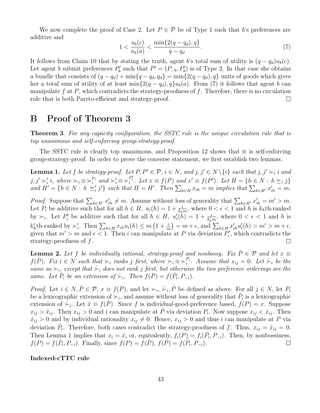We now complete the proof of Case 2. Let  $P \in \mathcal{P}$  be of Type 1 such that b's preferences are additive and

$$
1 < \frac{u_b(c)}{u_b(a)} < \frac{\min\{2(q - q_d), q\}}{q - q_d}.\tag{7}
$$

It follows from Claim 10 that by stating the truth, agent b's total sum of utility is  $(q - q_d)u_b(c)$ . Let agent b submit preferences  $P'_b$  such that  $P' = (P_{-b}, P'_b)$  is of Type 2. In that case she obtains a bundle that consists of  $(q - q_d) + \min\{q - q_d, q_d\} = \min\{2(q - q_d), q\}$  units of goods which gives her a total sum of utility of at least min $\{2(q - q_d), q\}u_b(a)$ . From (7) it follows that agent b can manipulate  $f$  at  $P$ , which contradicts the strategy-proofness of  $f$ . Therefore, there is no circulation rule that is both Pareto-efficient and strategy-proof.  $\Box$ 

## B Proof of Theorem 3

**Theorem 3.** For any capacity configuration, the SSTC rule is the unique circulation rule that is top unanimous and self-enforcing group-strategy-proof.

The SSTC rule is clearly top unanimous, and Proposition 12 shows that it is self-enforcing group-strategy-proof. In order to prove the converse statement, we first establish two lemmas.

**Lemma 1.** Let f be strategy-proof. Let  $P, P' \in \mathcal{P}, i \in N$ , and  $j, j' \in N \setminus \{i\}$  such that  $j, j' \succ_i i$  and  $j, j' \succ'_i i$ , where  $\succ_i \equiv \succ_i^{P_i}$  and  $\succ'_i \equiv \succ_i^{P'_i}$ . Let  $x \equiv f(P)$  and  $x' \equiv f(P')$ . Let  $H = \{h \in N : h \succeq_i j\}$ and  $H' = \{h \in N : h \succeq'_i j'\}$  such that  $H = H'$ . Then  $\sum_{h \in H} x_{ih} = m$  implies that  $\sum_{h \in H'} x'_{ih} = m$ .

*Proof.* Suppose that  $\sum_{h\in H'} x'_{ih} \neq m$ . Assume without loss of generality that  $\sum_{h\in H'} x'_{ih} = m' > m$ . Let  $P_i$  be additive such that for all  $h \in H$ ,  $u_i(h) = 1 + \frac{\epsilon}{k_h m}$ , where  $0 < \epsilon < 1$  and h is  $k_h$ th-ranked by  $\succ_i$ . Let  $P'_i$  be additive such that for all  $h \in H$ ,  $u'_i(h) = 1 + \frac{\epsilon}{k'_h m}$ , where  $0 < \epsilon < 1$  and h is  $k'_h$ th-ranked by  $\succ'_i$ . Then  $\sum_{h\in H} x_{ih}u_i(h) \leq m\left(1+\frac{\epsilon}{m}\right) = m+\epsilon$ , and  $\sum_{h\in H} x'_{ih}u'_i(h) > m' > m+\epsilon$ , given that  $m' > m$  and  $\epsilon < 1$ . Then i can manipulate at P via deviation  $P'_i$ , which contradicts the strategy-proofness of f.  $\Box$ 

**Lemma 2.** Let f be individually rational, strategy-proof and nonbossy. Fix  $\bar{P} \in \mathcal{P}$  and let  $x \equiv$  $f(\bar{P})$ . Fix  $i \in N$  such that  $\succ_i$  ranks j first, where  $\succ_i \equiv \succ_i^{\bar{P}_i}$ . Assume that  $x_{ij} = 0$ . Let  $\succ_i$  be the same as  $\succ_i$ , except that  $\hat{\succ}_i$  does not rank j first, but otherwise the two preference orderings are the same. Let  $\hat{P}_i$  be an extension of  $\hat{\succ}_i$ . Then  $f(\bar{P}) = f(\hat{P}_i, P_{-i})$ .

*Proof.* Let  $i \in N, \overline{P} \in \mathcal{P}$ ,  $x \equiv f(\overline{P})$ , and let  $\succ_i$ ,  $\hat{\succ}_i$ ,  $\hat{P}$  be defined as above. For all  $j \in N$ , let  $P_i$ be a lexicographic extension of  $\succ_i$ , and assume without loss of generality that  $\hat{P}_i$  is a lexicographic extension of  $\sum_i$ . Let  $\hat{x} \equiv f(\hat{P})$ . Since f is individual-good-preference based,  $f(P) = x$ . Suppose  $x_{ij} > \hat{x}_{ij}$ . Then  $x_{ij} > 0$  and i can manipulate at  $\hat{P}$  via deviation  $P_i$ . Now suppose  $x_{ij} < \hat{x}_{ij}$ . Then  $\hat{x}_{ij} > 0$  and by individual rationality  $x_{ij} \neq 0$ . Hence,  $x_{ij} > 0$  and thus i can manipulate at P via deviation  $\hat{P}_i$ . Therefore, both cases contradict the strategy-proofness of f. Thus,  $x_{ij} = \hat{x}_{ij} = 0$ . Then Lemma 1 implies that  $x_i = \hat{x}_i$  or, equivalently,  $f_i(P) = f_i(\hat{P}_i, P_{-i})$ . Then, by nonbossiness,  $f(P) = f(\hat{P}_i, P_{-i})$ . Finally, since  $f(P) = f(\bar{P})$ ,  $f(\bar{P}) = f(\hat{P}_i, P_{-i})$ .  $\Box$ 

#### Indexed-cTTC rule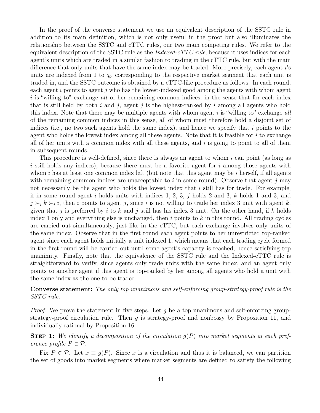In the proof of the converse statement we use an equivalent description of the SSTC rule in addition to its main definition, which is not only useful in the proof but also illuminates the relationship between the SSTC and cTTC rules, our two main competing rules. We refer to the equivalent description of the SSTC rule as the  $Indeed-cTTC$  rule, because it uses indices for each agent's units which are traded in a similar fashion to trading in the cTTC rule, but with the main difference that only units that have the same index may be traded. More precisely, each agent i's units are indexed from 1 to  $q_i$ , corresponding to the respective market segment that each unit is traded in, and the SSTC outcome is obtained by a cTTC-like procedure as follows. In each round, each agent  $i$  points to agent  $j$  who has the lowest-indexed good among the agents with whom agent  $i$  is "willing to" exchange all of her remaining common indices, in the sense that for each index that is still held by both i and j, agent j is the highest-ranked by i among all agents who hold this index. Note that there may be multiple agents with whom agent  $i$  is "willing to" exchange all of the remaining common indices in this sense, all of whom must therefore hold a disjoint set of indices (i.e., no two such agents hold the same index), and hence we specify that i points to the agent who holds the lowest index among all these agents. Note that it is feasible for  $i$  to exchange all of her units with a common index with all these agents, and  $i$  is going to point to all of them in subsequent rounds.

This procedure is well-defined, since there is always an agent to whom  $i$  can point (as long as i still holds any indices), because there must be a favorite agent for i among those agents with whom i has at least one common index left (but note that this agent may be i herself, if all agents with remaining common indices are unacceptable to  $i$  in some round). Observe that agent  $j$  may not necessarily be the agent who holds the lowest index that  $i$  still has for trade. For example, if in some round agent i holds units with indices 1, 2, 3, j holds 2 and 3, k holds 1 and 3, and  $j \succ_i k \succ_i i$ , then i points to agent j, since i is not willing to trade her index 3 unit with agent k, given that j is preferred by i to k and j still has his index 3 unit. On the other hand, if k holds index 1 only and everything else is unchanged, then  $i$  points to  $k$  in this round. All trading cycles are carried out simultaneously, just like in the cTTC, but each exchange involves only units of the same index. Observe that in the first round each agent points to her unrestricted top-ranked agent since each agent holds initially a unit indexed 1, which means that each trading cycle formed in the first round will be carried out until some agent's capacity is reached, hence satisfying top unanimity. Finally, note that the equivalence of the SSTC rule and the Indexed-cTTC rule is straightforward to verify, since agents only trade units with the same index, and an agent only points to another agent if this agent is top-ranked by her among all agents who hold a unit with the same index as the one to be traded.

Converse statement: The only top unanimous and self-enforcing group-strategy-proof rule is the SSTC rule.

*Proof.* We prove the statement in five steps. Let q be a top unanimous and self-enforcing groupstrategy-proof circulation rule. Then  $g$  is strategy-proof and nonbossy by Proposition 11, and individually rational by Proposition 16.

**STEP 1:** We identify a decomposition of the circulation  $q(P)$  into market segments at each preference profile  $P \in \mathcal{P}$ .

Fix  $P \in \mathcal{P}$ . Let  $x \equiv g(P)$ . Since x is a circulation and thus it is balanced, we can partition the set of goods into market segments where market segments are defined to satisfy the following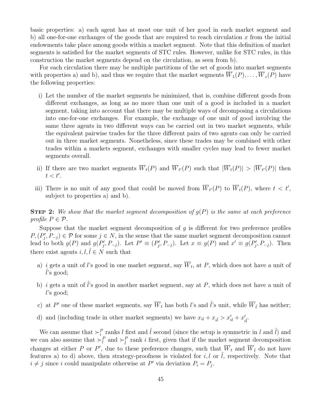basic properties: a) each agent has at most one unit of her good in each market segment and b) all one-for-one exchanges of the goods that are required to reach circulation  $x$  from the initial endowments take place among goods within a market segment. Note that this definition of market segments is satisfied for the market segments of STC rules. However, unlike for STC rules, in this construction the market segments depend on the circulation, as seen from b).

For each circulation there may be multiple partitions of the set of goods into market segments with properties a) and b), and thus we require that the market segments  $\overline{W}_1(P), \ldots, \overline{W}_z(P)$  have the following properties:

- i) Let the number of the market segments be minimized, that is, combine different goods from different exchanges, as long as no more than one unit of a good is included in a market segment, taking into account that there may be multiple ways of decomposing a circulations into one-for-one exchanges. For example, the exchange of one unit of good involving the same three agents in two different ways can be carried out in two market segments, while the equivalent pairwise trades for the three different pairs of two agents can only be carried out in three market segments. Nonetheless, since these trades may be combined with other trades within a markets segment, exchanges with smaller cycles may lead to fewer market segments overall.
- ii) If there are two market segments  $\overline{W}_t(P)$  and  $\overline{W}_{t'}(P)$  such that  $|\overline{W}_t(P)| > |\overline{W}_{t'}(P)|$  then  $t < t'.$
- iii) There is no unit of any good that could be moved from  $\overline{W}_{t'}(P)$  to  $\overline{W}_{t}(P)$ , where  $t < t'$ , subject to properties a) and b).

**STEP 2:** We show that the market segment decomposition of  $q(P)$  is the same at each preference profile  $P \in \mathcal{P}$ .

Suppose that the market segment decomposition of  $g$  is different for two preference profiles  $P, (P'_j, P_{-j}) \in \mathcal{P}$  for some  $j \in N$ , in the sense that the same market segment decomposition cannot lead to both  $g(P)$  and  $g(P'_j, P_{-j})$ . Let  $P' \equiv (P'_j, P_{-j})$ . Let  $x \equiv g(P)$  and  $x' \equiv g(P'_j, P_{-j})$ . Then there exist agents  $i, l, l \in N$  such that

- a) i gets a unit of l's good in one market segment, say  $W_t$ , at P, which does not have a unit of  $l$ 's good;
- b) i gets a unit of  $\hat{l}$ 's good in another market segment, say at P, which does not have a unit of l's good;
- c) at P' one of these market segments, say  $\overline{W}_t$  has both l's and  $\hat{l}$ 's unit, while  $\overline{W}_{\tilde{t}}$  has neither;
- d) and (including trade in other market segments) we have  $x_{il} + x_{il} > x'_{il} + x'_{il}$ .

We can assume that  $\succ_i^P$  ranks l first and  $\hat{l}$  second (since the setup is symmetric in l and  $\hat{l}$ ) and we can also assume that  $\succ_l^P$  and  $\succ_l^P$  rank i first, given that if the market segment decomposition changes at either P or P', due to these preference changes, such that  $\overline{W}_t$  and  $\overline{W}_t$  do not have features a) to d) above, then strategy-proofness is violated for i, l or  $\hat{l}$ , respectively. Note that  $i \neq j$  since i could manipulate otherwise at P' via deviation  $P_i = P_j$ .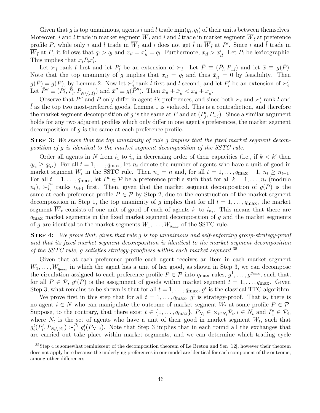Given that g is top unanimous, agents i and l trade  $\min(q_i, q_i)$  of their units between themselves. Moreover, i and l trade in market segment  $\overline{W}_t$  and i and  $\hat{l}$  trade in market segment  $\overline{W}_{\tilde{t}}$  at preference profile P, while only i and l trade in  $\overline{W}_t$  and i does not get  $\hat{l}$  in  $\overline{W}_{\tilde{t}}$  at P'. Since i and  $\hat{l}$  trade in  $\overline{W}_{\tilde{t}}$  at P, it follows that  $q_i > q_l$  and  $x_{il} = x'_{il} = q_l$ . Furthermore,  $x_{i\tilde{l}} > x'_{i\tilde{l}}$ . Let  $P_i$  be lexicographic. This implies that  $x_i P_i x'_i$ .

Let  $\bar{\succ}_i$  rank l first and let  $P'_i$  be an extension of  $\bar{\succ}_i$ . Let  $\bar{P} \equiv (\bar{P}_i, P_{-i})$  and let  $\bar{x} \equiv g(\bar{P})$ . Note that the top unanimity of g implies that  $x_{il} = q_l$  and thus  $\bar{x}_{il} = 0$  by feasibility. Then  $g(\bar{P}) = g(P)$ , by Lemma 2. Now let  $\succ'_{i}$  rank  $\hat{l}$  first and l second, and let  $P'_{i}$  be an extension of  $\succ'_{i}$ . Let  $\overline{P}'' \equiv (P'_i, \overline{P}_i, P_{N \setminus \{i,\hat{l}\}})$  and  $\overline{x}'' \equiv g(\overline{P}'')$ . Then  $\overline{x}_{il} + \overline{x}_{il} < x_{il} + x_{il}$ .

Observe that  $\bar{P}''$  and  $\bar{P}$  only differ in agent i's preferences, and since both  $\succ_i$  and  $\succ'_i$  rank l and  $l$  as the top two most-preferred goods, Lemma 1 is violated. This is a contradiction, and therefore the market segment decomposition of g is the same at P and at  $(P_j', P_{-j})$ . Since a similar argument holds for any two adjacent profiles which only differ in one agent's preferences, the market segment decomposition of  $q$  is the same at each preference profile.

**STEP 3:** We show that the top unanimity of rule g implies that the fixed market segment decomposition of g is identical to the market segment decomposition of the SSTC rule.

Order all agents in N from  $i_1$  to  $i_n$  in decreasing order of their capacities (i.e., if  $k < k'$  then  $q_{i_k} \ge q_{i_{k'}}$ ). For all  $t = 1, \ldots, q_{\text{max}}$ , let  $n_t$  denote the number of agents who have a unit of good in market segment  $W_t$  in the SSTC rule. Then  $n_1 = n$  and, for all  $t = 1, \ldots, q_{\text{max}} - 1, n_t \ge n_{t+1}$ . For all  $t = 1, \ldots, q_{\text{max}}$ , let  $P^t \in \mathcal{P}$  be a preference profile such that for all  $k = 1, \ldots, n_t$  (modulo  $(n_t), \succ_{i_k}^{P^t}$  $e_{i_k}^{P^t}$  ranks  $i_{k+1}$  first. Then, given that the market segment decomposition of  $g(P)$  is the same at each preference profile  $P \in \mathcal{P}$  by Step 2, due to the construction of the market segment decomposition in Step 1, the top unanimity of g implies that for all  $t = 1, \ldots, q_{\text{max}}$ , the market segment  $W_t$  consists of one unit of good of each of agents  $i_1$  to  $i_{n_t}$ . This means that there are  $q_{\text{max}}$  market segments in the fixed market segment decomposition of g and the market segments of g are identical to the market segments  $W_1, \ldots, W_{q_{\text{max}}}$  of the SSTC rule.

STEP 4: We prove that, given that rule g is top unanimous and self-enforcing group-strategy-proof and that its fixed market segment decomposition is identical to the market segment decomposition of the SSTC rule, g satisfies strategy-proofness within each market segment.<sup>35</sup>

Given that at each preference profile each agent receives an item in each market segment  $W_1, \ldots, W_{q_{\text{max}}}$  in which the agent has a unit of her good, as shown in Step 3, we can decompose the circulation assigned to each preference profile  $P \in \mathcal{P}$  into  $q_{\text{max}}$  rules,  $g^1, \ldots, g^{q_{\text{max}}}$ , such that, for all  $P \in \mathcal{P}$ ,  $g^t(P)$  is the assignment of goods within market segment  $t = 1, \ldots, q_{\text{max}}$ . Given Step 3, what remains to be shown is that for all  $t = 1, \ldots, q_{\text{max}}, g^t$  is the classical TTC algorithm.

We prove first in this step that for all  $t = 1, \ldots, q_{\text{max}}, g^t$  is strategy-proof. That is, there is no agent  $i \in N$  who can manipulate the outcome of market segment  $W_t$  at some profile  $P \in \mathcal{P}$ . Suppose, to the contrary, that there exist  $t \in \{1, \ldots, q_{\text{max}}\}, P_{N_t} \in \times_{i \in N_t} P_i, i \in N_t$  and  $P'_i \in \mathcal{P}_i$ , where  $N_t$  is the set of agents who have a unit of their good in market segment  $W_t$ , such that  $g_i^t(P_i', P_{N_t\setminus\{i\}}) \succ_i^{P_i} g_i^t(P_{N-t})$ . Note that Step 3 implies that in each round all the exchanges that are carried out take place within market segments, and we can determine which trading cycle

<sup>35</sup>Step 4 is somewhat reminiscent of the decomposition theorem of Le Breton and Sen [12], however their theorem does not apply here because the underlying preferences in our model are identical for each component of the outcome, among other differences.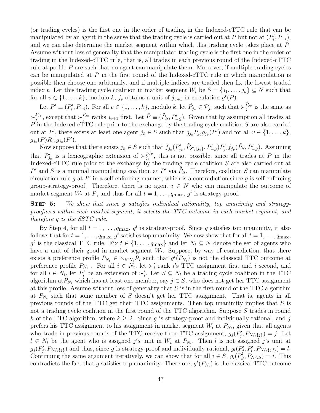(or trading cycles) is the first one in the order of trading in the Indexed-cTTC rule that can be manipulated by an agent in the sense that the trading cycle is carried out at P but not at  $(P_i', P_{-i}),$ and we can also determine the market segment within which this trading cycle takes place at P. Assume without loss of generality that the manipulated trading cycle is the first one in the order of trading in the Indexed-cTTC rule, that is, all trades in each previous round of the Indexed-cTTC rule at profile  $P$  are such that no agent can manipulate them. Moreover, if multiple trading cycles can be manipulated at  $P$  in the first round of the Indexed-cTTC rule in which manipulation is possible then choose one arbitrarily, and if multiple indices are traded then fix the lowest traded index t. Let this trading cycle coalition in market segment  $W_t$  be  $S = \{j_1, \ldots, j_k\} \subseteq N$  such that for all  $v \in \{1, ..., k\}$ , modulo k,  $j_v$  obtains a unit of  $j_{v+1}$  in circulation  $g^t(P)$ .

Let  $P' \equiv (P'_i, P_{-i})$ . For all  $v \in \{1, \ldots, k\}$ , modulo k, let  $\tilde{P}_{j_v} \in \mathcal{P}_{j_v}$  such that  $\succ_j^{\tilde{P}_{j_v}}$  is the same as  $\succ_j^{P_{j_v}}$ , except that  $\succ_j^{\tilde{P}_{j_v}}$  ranks  $j_{v+1}$  first. Let  $\tilde{P} \equiv (\tilde{P}_S, P'_{-S})$ . Given that by assumption all trades at  $P$  in the Indexed-cTTC rule prior to the exchange by the trading cycle coalition S are also carried out at P', there exists at least one agent  $j_{\hat{v}} \in S$  such that  $g_{j_{\hat{v}}} P_{j_{\hat{v}}} g_{j_{\hat{v}}}(P')$  and for all  $v \in \{1, \ldots, k\}$ ,  $g_{j_{v}}(P)R_{j_{v}}g_{j_{v}}(P').$ 

Now suppose that there exists  $j_{\bar{v}} \in S$  such that  $f_{j_{\bar{v}}}(P'_{j_{\bar{v}}}, \tilde{P}_{S \setminus \{j_{\bar{v}}\}}, P'_{-S}) P'_{j_{\bar{v}}} f_{j_{\bar{v}}}(\tilde{P}_{S}, P'_{-S})$ . Assuming that  $P'_{j_{\bar{v}}}$  is a lexicographic extension of  $\succ_{j_{\bar{v}}}^{p_{j_{\bar{v}}}}$  $j_{\bar{i}\bar{j}}^{p_{j\bar{i}\bar{j}}}$ , this is not possible, since all trades at P in the Indexed-cTTC rule prior to the exchange by the trading cycle coalition S are also carried out at P' and S is a minimal manipulating coalition at P' via  $\tilde{P}_S$ . Therefore, coalition S can manipulate circulation rule  $g$  at  $P'$  in a self-enforcing manner, which is a contradiction since  $g$  is self-enforcing group-strategy-proof. Therefore, there is no agent  $i \in N$  who can manipulate the outcome of market segment  $W_t$  at P, and thus for all  $t = 1, \ldots, q_{\text{max}}, g^t$  is strategy-proof.

STEP 5: We show that since q satisfies individual rationality, top unanimity and strategyproofness within each market segment, it selects the TTC outcome in each market segment, and therefore g is the SSTC rule.

By Step 4, for all  $t = 1, \ldots, q_{\text{max}}, g^t$  is strategy-proof. Since g satisfies top unanimity, it also follows that for  $t = 1, \ldots, q_{\text{max}}, g^t$  satisfies top unanimity. We now show that for all  $t = 1, \ldots, q_{\text{max}}$ , g<sup>t</sup> is the classical TTC rule. Fix  $t \in \{1, \ldots, q_{\text{max}}\}\$ and let  $N_t \subseteq N$  denote the set of agents who have a unit of their good in market segment  $W_t$ . Suppose, by way of contradiction, that there exists a preference profile  $P_{N_t} \in \times_{i \in N_t} \mathcal{P}_i$  such that  $g^t(P_{N_t})$  is not the classical TTC outcome at preference profile  $P_{N_t}$ . For all  $i \in N_t$ , let  $\succ'_i$  rank i's TTC assignment first and i second, and for all  $i \in N_t$ , let  $P'_i$  be an extension of  $\succ'_i$ . Let  $S \subseteq N_t$  be a trading cycle coalition in the TTC algorithm at  $P_{N_t}$  which has at least one member, say  $j \in S$ , who does not get her TTC assignment at this profile. Assume without loss of generality that  $S$  is in the first round of the TTC algorithm at  $P_{N_t}$  such that some member of S doesn't get her TTC assignment. That is, agents in all previous rounds of the TTC get their TTC assignments. Then top unanimity implies that S is not a trading cycle coalition in the first round of the TTC algorithm. Suppose S trades in round k of the TTC algorithm, where  $k \geq 2$ . Since g is strategy-proof and individually rational, and j prefers his TTC assignment to his assignment in market segment  $W_t$  at  $P_{N_t}$ , given that all agents who trade in previous rounds of the TTC receive their TTC assignment,  $g_j(P'_j, P_{N_t \setminus \{j\}}) = j$ . Let  $l \in N_t$  be the agent who is assigned j's unit in  $W_t$  at  $P_{N_t}$ . Then l is not assigned j's unit at  $g_j(P'_j, P_{N_t \setminus \{j\}})$  and thus, since g is strategy-proof and individually rational,  $g_l(P'_j, P'_l, P_{N_t \setminus \{j,l\}}) = l$ . Continuing the same argument iteratively, we can show that for all  $i \in S$ ,  $g_i(P_S^j, P_{N_t \setminus S}) = i$ . This contradicts the fact that g satisfies top unanimity. Therefore,  $g^t(P_{N_t})$  is the classical TTC outcome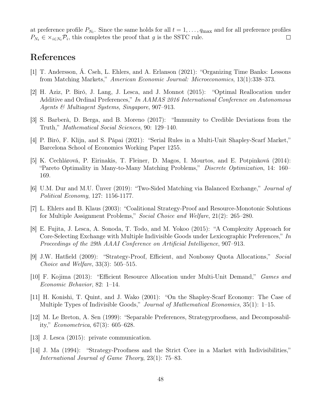at preference profile  $P_{N_t}$ . Since the same holds for all  $t = 1, \ldots, q_{\text{max}}$  and for all preference profiles  $P_{N_t} \in \times_{i \in N_t} \mathcal{P}_i$ , this completes the proof that g is the SSTC rule.  $\Box$ 

### References

- [1] T. Andersson, Á. Cseh, L. Ehlers, and A. Erlanson (2021): "Organizing Time Banks: Lessons from Matching Markets," American Economic Journal: Microeconomics, 13(1):338–373.
- [2] H. Aziz, P. Biró, J. Lang, J. Lesca, and J. Monnot (2015): "Optimal Reallocation under Additive and Ordinal Preferences," In AAMAS 2016 International Conference on Autonomous Agents & Multiagent Systems, Singapore, 907–913.
- [3] S. Barberà, D. Berga, and B. Moreno (2017): "Immunity to Credible Deviations from the Truth," Mathematical Social Sciences, 90: 129–140.
- [4] P. Biró, F. Klijn, and S. Pápai (2021): "Serial Rules in a Multi-Unit Shapley-Scarf Market," Barcelona School of Economics Working Paper 1255.
- [5] K. Cechlárová, P. Eirinakis, T. Fleiner, D. Magos, I. Mourtos, and E. Potpinková (2014): "Pareto Optimality in Many-to-Many Matching Problems," Discrete Optimization, 14: 160– 169.
- [6] U.M. Dur and M.U. Ünver (2019): "Two-Sided Matching via Balanced Exchange," Journal of Political Economy, 127: 1156-1177.
- [7] L. Ehlers and B. Klaus (2003): "Coalitional Strategy-Proof and Resource-Monotonic Solutions for Multiple Assignment Problems," Social Choice and Welfare, 21(2): 265–280.
- [8] E. Fujita, J. Lesca, A. Sonoda, T. Todo, and M. Yokoo (2015): "A Complexity Approach for Core-Selecting Exchange with Multiple Indivisible Goods under Lexicographic Preferences," In Proceedings of the 29th AAAI Conference on Artificial Intelligence, 907–913.
- [9] J.W. Hatfield (2009): "Strategy-Proof, Efficient, and Nonbossy Quota Allocations," Social Choice and Welfare, 33(3): 505–515.
- [10] F. Kojima (2013): "Efficient Resource Allocation under Multi-Unit Demand," Games and Economic Behavior, 82: 1–14.
- [11] H. Konishi, T. Quint, and J. Wako (2001): "On the Shapley-Scarf Economy: The Case of Multiple Types of Indivisible Goods," Journal of Mathematical Economics, 35(1): 1–15.
- [12] M. Le Breton, A. Sen (1999): "Separable Preferences, Strategyproofness, and Decomposability," Econometrica, 67(3): 605–628.
- [13] J. Lesca (2015): private communication.
- [14] J. Ma (1994): "Strategy-Proofness and the Strict Core in a Market with Indivisibilities," International Journal of Game Theory, 23(1): 75–83.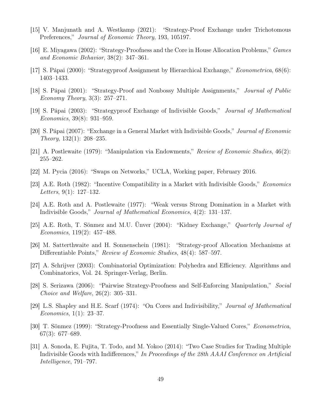- [15] V. Manjunath and A. Westkamp (2021): "Strategy-Proof Exchange under Trichotomous Preferences," Journal of Economic Theory, 193, 105197.
- [16] E. Miyagawa (2002): "Strategy-Proofness and the Core in House Allocation Problems," Games and Economic Behavior, 38(2): 347–361.
- [17] S. Pápai (2000): "Strategyproof Assignment by Hierarchical Exchange," Econometrica, 68(6): 1403–1433.
- [18] S. Pápai (2001): "Strategy-Proof and Nonbossy Multiple Assignments," Journal of Public Economy Theory, 3(3): 257–271.
- [19] S. Pápai (2003): "Strategyproof Exchange of Indivisible Goods," Journal of Mathematical Economics, 39(8): 931–959.
- [20] S. Pápai (2007): "Exchange in a General Market with Indivisible Goods," Journal of Economic Theory, 132(1): 208–235.
- [21] A. Postlewaite (1979): "Manipulation via Endowments," Review of Economic Studies, 46(2): 255–262.
- [22] M. Pycia (2016): "Swaps on Networks," UCLA, Working paper, February 2016.
- [23] A.E. Roth (1982): "Incentive Compatibility in a Market with Indivisible Goods," Economics Letters, 9(1): 127–132.
- [24] A.E. Roth and A. Postlewaite (1977): "Weak versus Strong Domination in a Market with Indivisible Goods," Journal of Mathematical Economics, 4(2): 131–137.
- [25] A.E. Roth, T. Sönmez and M.U. Ünver (2004): "Kidney Exchange," Quarterly Journal of Economics, 119(2): 457–488.
- [26] M. Satterthwaite and H. Sonnenschein (1981): "Strategy-proof Allocation Mechanisms at Differentiable Points," Review of Economic Studies, 48(4): 587–597.
- [27] A. Schrijver (2003): Combinatorial Optimization: Polyhedra and Efficiency. Algorithms and Combinatorics, Vol. 24. Springer-Verlag, Berlin.
- [28] S. Serizawa (2006): "Pairwise Strategy-Proofness and Self-Enforcing Manipulation," Social Choice and Welfare, 26(2): 305–331.
- [29] L.S. Shapley and H.E. Scarf (1974): "On Cores and Indivisibility," Journal of Mathematical Economics, 1(1): 23–37.
- [30] T. Sönmez (1999): "Strategy-Proofness and Essentially Single-Valued Cores," Econometrica, 67(3): 677–689.
- [31] A. Sonoda, E. Fujita, T. Todo, and M. Yokoo (2014): "Two Case Studies for Trading Multiple Indivisible Goods with Indifferences," In Proceedings of the 28th AAAI Conference on Artificial Intelligence, 791–797.